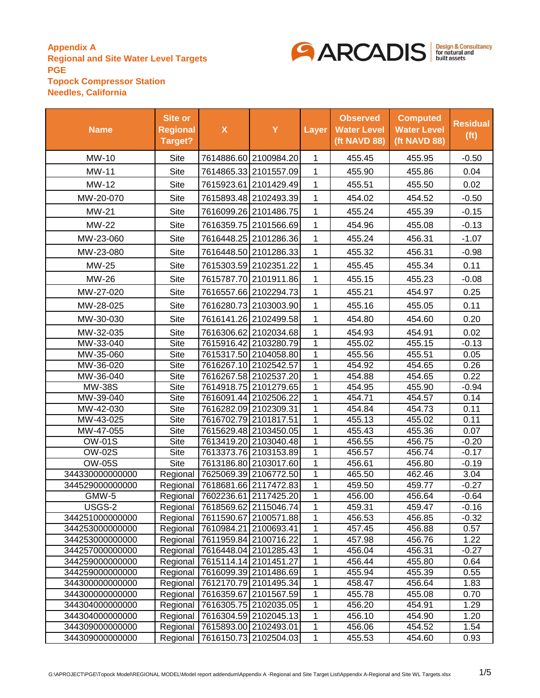

| <b>Name</b>     | Site or<br><b>Regional</b><br>Target? | $\boldsymbol{\mathsf{X}}$          | Y                                  | Layer        | <b>Observed</b><br><b>Water Level</b><br>(ft NAVD 88) | <b>Computed</b><br><b>Water Level</b><br>(ft NAVD 88) | <b>Residual</b><br>(f <sub>t</sub> ) |
|-----------------|---------------------------------------|------------------------------------|------------------------------------|--------------|-------------------------------------------------------|-------------------------------------------------------|--------------------------------------|
| MW-10           | Site                                  |                                    | 7614886.60 2100984.20              | $\mathbf{1}$ | 455.45                                                | 455.95                                                | $-0.50$                              |
| <b>MW-11</b>    | Site                                  |                                    | 7614865.33 2101557.09              | 1            | 455.90                                                | 455.86                                                | 0.04                                 |
| MW-12           | Site                                  |                                    | 7615923.61 2101429.49              | $\mathbf{1}$ | 455.51                                                | 455.50                                                | 0.02                                 |
| MW-20-070       | Site                                  |                                    | 7615893.48 2102493.39              | 1            | 454.02                                                | 454.52                                                | $-0.50$                              |
| MW-21           | Site                                  |                                    | 7616099.26 2101486.75              | 1            | 455.24                                                | 455.39                                                | $-0.15$                              |
| MW-22           | Site                                  |                                    | 7616359.75 2101566.69              | 1            | 454.96                                                | 455.08                                                | $-0.13$                              |
| MW-23-060       | <b>Site</b>                           |                                    | 7616448.25 2101286.36              | 1            | 455.24                                                | 456.31                                                | $-1.07$                              |
| MW-23-080       | Site                                  |                                    | 7616448.50 2101286.33              | 1            | 455.32                                                | 456.31                                                | $-0.98$                              |
| MW-25           | Site                                  |                                    | 7615303.59 2102351.22              | 1            | 455.45                                                | 455.34                                                | 0.11                                 |
| MW-26           | <b>Site</b>                           |                                    | 7615787.70 2101911.86              | 1            | 455.15                                                | 455.23                                                | $-0.08$                              |
| MW-27-020       | Site                                  |                                    | 7616557.66 2102294.73              | 1            | 455.21                                                | 454.97                                                | 0.25                                 |
| MW-28-025       | Site                                  |                                    | 7616280.73 2103003.90              | 1            | 455.16                                                | 455.05                                                | 0.11                                 |
| MW-30-030       | Site                                  |                                    | 7616141.26 2102499.58              | $\mathbf{1}$ | 454.80                                                | 454.60                                                | 0.20                                 |
| MW-32-035       | <b>Site</b>                           |                                    | 7616306.62 2102034.68              | $\mathbf{1}$ | 454.93                                                | 454.91                                                | 0.02                                 |
| MW-33-040       | Site                                  |                                    | 7615916.42 2103280.79              | $\mathbf{1}$ | 455.02                                                | 455.15                                                | $-0.13$                              |
| MW-35-060       | <b>Site</b>                           |                                    | 7615317.50 2104058.80              | $\mathbf{1}$ | 455.56                                                | 455.51                                                | 0.05                                 |
| MW-36-020       | <b>Site</b>                           |                                    | 7616267.10 2102542.57              | 1            | 454.92                                                | 454.65                                                | 0.26                                 |
| MW-36-040       | Site                                  |                                    | 7616267.58 2102537.20              | 1            | 454.88                                                | 454.65                                                | 0.22                                 |
| <b>MW-38S</b>   | Site                                  |                                    | 7614918.75 2101279.65              | 1            | 454.95                                                | 455.90                                                | $-0.94$                              |
| MW-39-040       | Site                                  |                                    | 7616091.44 2102506.22              | 1            | 454.71                                                | 454.57                                                | 0.14                                 |
| MW-42-030       | Site                                  |                                    | 7616282.09 2102309.31              | 1            | 454.84                                                | 454.73                                                | 0.11                                 |
| MW-43-025       | Site                                  | 7616702.79 2101817.51              |                                    | 1            | 455.13                                                | 455.02                                                | 0.11                                 |
| MW-47-055       | Site                                  |                                    | 7615629.48 2103450.05              | 1            | 455.43                                                | 455.36                                                | 0.07                                 |
| <b>OW-01S</b>   | Site                                  |                                    | 7613419.20 2103040.48              | 1            | 456.55                                                | 456.75                                                | $-0.20$                              |
| <b>OW-02S</b>   | Site                                  |                                    | 7613373.76 2103153.89              | 1            | 456.57                                                | 456.74                                                | $-0.17$                              |
| <b>OW-05S</b>   | <b>Site</b>                           |                                    | 7613186.80 2103017.60              | 1            | 456.61                                                | 456.80                                                | $-0.19$                              |
| 344330000000000 |                                       | Regional 7625069.39 2106772.50     |                                    | 1            | 465.50                                                | 462.46                                                | 3.04                                 |
| 344529000000000 |                                       | Regional 7618681.66 2117472.83     |                                    | 1            | 459.50                                                | 459.77                                                | $-0.27$                              |
| GMW-5           |                                       | Regional 7602236.61 2117425.20     |                                    | 1            | 456.00                                                | 456.64                                                | $-0.64$                              |
| USGS-2          |                                       |                                    | Regional 7618569.62 2115046.74     | $\mathbf{1}$ | 459.31                                                | 459.47                                                | $-0.16$                              |
| 344251000000000 |                                       |                                    | Regional   7611590.67   2100571.88 | $\mathbf{1}$ | 456.53                                                | 456.85                                                | $-0.32$                              |
| 344253000000000 |                                       | Regional 7610984.21 2100693.41     |                                    | 1            | 457.45                                                | 456.88                                                | 0.57                                 |
| 344253000000000 |                                       | Regional 7611959.84 2100716.22     |                                    | 1            | 457.98                                                | 456.76                                                | 1.22                                 |
| 344257000000000 |                                       | Regional 7616448.04 2101285.43     |                                    | 1            | 456.04                                                | 456.31                                                | $-0.27$                              |
| 344259000000000 |                                       | Regional 7615114.14 2101451.27     |                                    | 1            | 456.44                                                | 455.80                                                | 0.64                                 |
| 344259000000000 |                                       | Regional   7616099.39 2101486.69   |                                    | 1            | 455.94                                                | 455.39                                                | 0.55                                 |
| 344300000000000 |                                       |                                    | Regional 7612170.79 2101495.34     | 1            | 458.47                                                | 456.64                                                | 1.83                                 |
| 344300000000000 |                                       |                                    | Regional   7616359.67   2101567.59 | 1            | 455.78                                                | 455.08                                                | 0.70                                 |
| 344304000000000 |                                       | Regional   7616305.75   2102035.05 |                                    | 1            | 456.20                                                | 454.91                                                | 1.29                                 |
| 344304000000000 |                                       |                                    | Regional   7616304.59 2102045.13   | 1            | 456.10                                                | 454.90                                                | 1.20                                 |
| 344309000000000 |                                       |                                    | Regional 7615893.00 2102493.01     | 1            | 456.06                                                | 454.52                                                | 1.54                                 |
| 344309000000000 |                                       |                                    | Regional 7616150.73 2102504.03     | $\mathbf{1}$ | 455.53                                                | 454.60                                                | 0.93                                 |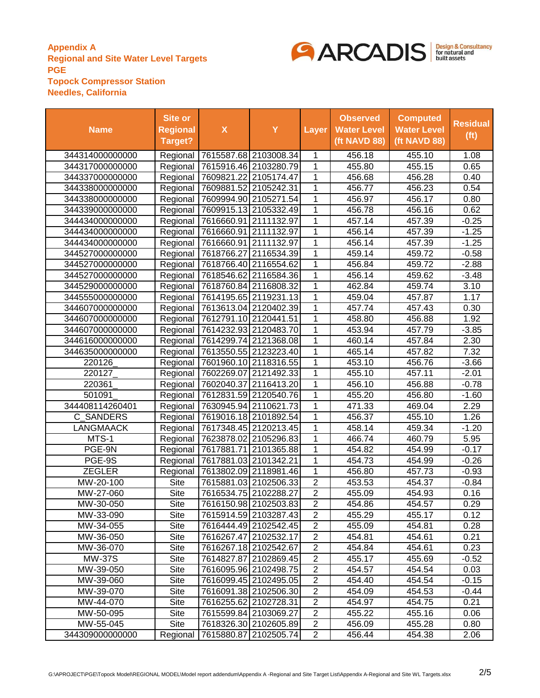

| <b>Name</b>      | Site or<br><b>Regional</b><br>Target? | $\boldsymbol{\mathsf{X}}$          | Y                     | <b>Layer</b>   | <b>Observed</b><br><b>Water Level</b><br>(ft NAVD 88) | <b>Computed</b><br><b>Water Level</b><br>(ft NAVD 88) | <b>Residual</b><br>(f <sub>t</sub> ) |
|------------------|---------------------------------------|------------------------------------|-----------------------|----------------|-------------------------------------------------------|-------------------------------------------------------|--------------------------------------|
| 344314000000000  |                                       | Regional 7615587.68 2103008.34     |                       | 1              | 456.18                                                | 455.10                                                | 1.08                                 |
| 344317000000000  |                                       | Regional   7615916.46 2103280.79   |                       | 1              | 455.80                                                | 455.15                                                | 0.65                                 |
| 344337000000000  |                                       | Regional 7609821.22 2105174.47     |                       | 1              | 456.68                                                | 456.28                                                | 0.40                                 |
| 344338000000000  | Regional                              | 7609881.52 2105242.31              |                       | 1              | 456.77                                                | 456.23                                                | 0.54                                 |
| 344338000000000  |                                       | Regional 7609994.90 2105271.54     |                       | 1              | 456.97                                                | 456.17                                                | 0.80                                 |
| 344339000000000  |                                       | Regional 7609915.13 2105332.49     |                       | 1              | 456.78                                                | 456.16                                                | 0.62                                 |
| 344434000000000  |                                       | Regional   7616660.91   2111132.97 |                       | 1              | 457.14                                                | 457.39                                                | $-0.25$                              |
| 344434000000000  |                                       | Regional 7616660.91 2111132.97     |                       | 1              | 456.14                                                | 457.39                                                | $-1.25$                              |
| 344434000000000  |                                       | Regional 7616660.91 2111132.97     |                       | 1              | 456.14                                                | 457.39                                                | $-1.25$                              |
| 344527000000000  |                                       | Regional   7618766.27 2116534.39   |                       | $\overline{1}$ | 459.14                                                | 459.72                                                | $-0.58$                              |
| 344527000000000  |                                       | Regional 7618766.40 2116554.62     |                       | 1              | 456.84                                                | 459.72                                                | $-2.88$                              |
| 344527000000000  |                                       | Regional 7618546.62 2116584.36     |                       | 1              | 456.14                                                | 459.62                                                | $-3.48$                              |
| 344529000000000  |                                       | Regional 7618760.84 2116808.32     |                       | 1              | 462.84                                                | 459.74                                                | 3.10                                 |
| 344555000000000  |                                       | Regional 7614195.65 2119231.13     |                       | 1              | 459.04                                                | 457.87                                                | 1.17                                 |
| 344607000000000  |                                       | Regional 7613613.04 2120402.39     |                       | 1              | 457.74                                                | 457.43                                                | 0.30                                 |
| 344607000000000  |                                       | Regional   7612791.10 2120441.51   |                       | 1              | 458.80                                                | 456.88                                                | 1.92                                 |
| 344607000000000  |                                       | Regional 7614232.93 2120483.70     |                       | 1              | 453.94                                                | 457.79                                                | $-3.85$                              |
| 344616000000000  |                                       | Regional 7614299.74 2121368.08     |                       | 1              | 460.14                                                | 457.84                                                | 2.30                                 |
| 344635000000000  |                                       | Regional 7613550.55 2123223.40     |                       | 1              | 465.14                                                | 457.82                                                | 7.32                                 |
| 220126           |                                       | Regional 7601960.10 2118316.55     |                       | 1              | 453.10                                                | 456.76                                                | $-3.66$                              |
| 220127           |                                       | Regional 7602269.07 2121492.33     |                       | 1              | 455.10                                                | 457.11                                                | $-2.01$                              |
| 220361           |                                       | Regional 7602040.37 2116413.20     |                       | 1              | 456.10                                                | 456.88                                                | $-0.78$                              |
| 501091           |                                       | Regional 7612831.59 2120540.76     |                       | 1              | 455.20                                                | 456.80                                                | $-1.60$                              |
| 344408114260401  |                                       | Regional 7630945.94 2110621.73     |                       | 1              | 471.33                                                | 469.04                                                | 2.29                                 |
| C SANDERS        |                                       | Regional   7619016.18 2101892.54   |                       | 1              | 456.37                                                | 455.10                                                | 1.26                                 |
| <b>LANGMAACK</b> |                                       | Regional 7617348.45 2120213.45     |                       | 1              | 458.14                                                | 459.34                                                | $-1.20$                              |
| MTS-1            |                                       | Regional 7623878.02 2105296.83     |                       | 1              | 466.74                                                | 460.79                                                | 5.95                                 |
| PGE-9N           | Regional                              |                                    | 7617881.71 2101365.88 | 1              | 454.82                                                | 454.99                                                | $-0.17$                              |
| PGE-9S           | Regional                              | 7617881.03 2101342.21              |                       | 1              | 454.73                                                | 454.99                                                | $-0.26$                              |
| <b>ZEGLER</b>    | Regional                              |                                    | 7613802.09 2118981.46 | 1              | 456.80                                                | 457.73                                                | $-0.93$                              |
| MW-20-100        | Site                                  |                                    | 7615881.03 2102506.33 | $\overline{2}$ | 453.53                                                | 454.37                                                | $-0.84$                              |
| MW-27-060        | <b>Site</b>                           |                                    | 7616534.75 2102288.27 | $\overline{2}$ | 455.09                                                | 454.93                                                | 0.16                                 |
| MW-30-050        | <b>Site</b>                           |                                    | 7616150.98 2102503.83 | $\overline{2}$ | 454.86                                                | 454.57                                                | 0.29                                 |
| MW-33-090        | Site                                  |                                    | 7615914.59 2103287.43 | 2              | 455.29                                                | 455.17                                                | 0.12                                 |
| MW-34-055        | <b>Site</b>                           |                                    | 7616444.49 2102542.45 | $\overline{2}$ | 455.09                                                | 454.81                                                | 0.28                                 |
| MW-36-050        | Site                                  |                                    | 7616267.47 2102532.17 | $\overline{2}$ | 454.81                                                | 454.61                                                | 0.21                                 |
| MW-36-070        | <b>Site</b>                           |                                    | 7616267.18 2102542.67 | $\overline{2}$ | 454.84                                                | 454.61                                                | 0.23                                 |
| MW-37S           | Site                                  |                                    | 7614827.87 2102869.45 | $\overline{c}$ | 455.17                                                | 455.69                                                | $-0.52$                              |
| MW-39-050        | Site                                  |                                    | 7616095.96 2102498.75 | $\overline{2}$ | 454.57                                                | 454.54                                                | 0.03                                 |
| MW-39-060        | Site                                  |                                    | 7616099.45 2102495.05 | $\overline{2}$ | 454.40                                                | 454.54                                                | $-0.15$                              |
| MW-39-070        | <b>Site</b>                           |                                    | 7616091.38 2102506.30 | $\overline{2}$ | 454.09                                                | 454.53                                                | $-0.44$                              |
| MW-44-070        | Site                                  |                                    | 7616255.62 2102728.31 | $\overline{2}$ | 454.97                                                | 454.75                                                | 0.21                                 |
| MW-50-095        | <b>Site</b>                           |                                    | 7615599.84 2103069.27 | $\overline{2}$ | 455.22                                                | 455.16                                                | 0.06                                 |
| MW-55-045        | <b>Site</b>                           |                                    | 7618326.30 2102605.89 | $\overline{2}$ | 456.09                                                | 455.28                                                | 0.80                                 |
| 344309000000000  | Regional                              | 7615880.87 2102505.74              |                       | $\overline{2}$ | 456.44                                                | 454.38                                                | 2.06                                 |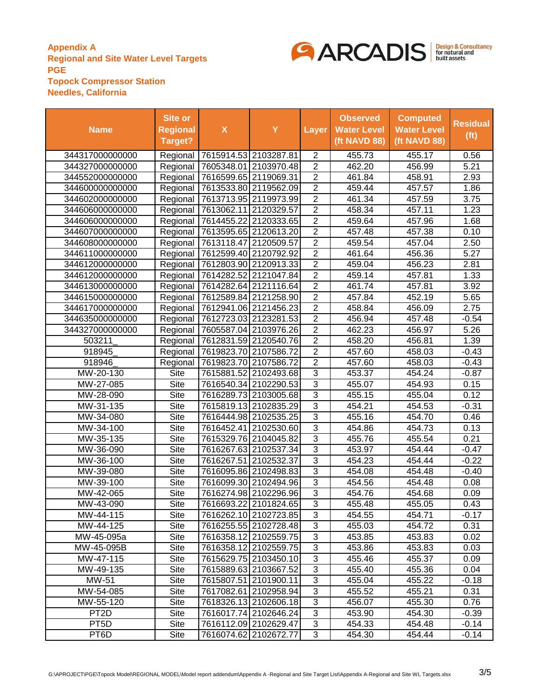

| <b>Name</b>       | Site or<br><b>Regional</b><br>Target? | $\boldsymbol{\mathsf{X}}$          | Y                     | Layer          | <b>Observed</b><br><b>Water Level</b><br>(ft NAVD 88) | <b>Computed</b><br><b>Water Level</b><br>(ft NAVD 88) | <b>Residual</b><br>(f <sup>t</sup> ) |
|-------------------|---------------------------------------|------------------------------------|-----------------------|----------------|-------------------------------------------------------|-------------------------------------------------------|--------------------------------------|
| 344317000000000   |                                       | Regional 7615914.53 2103287.81     |                       | 2              | 455.73                                                | 455.17                                                | 0.56                                 |
| 344327000000000   |                                       | Regional   7605348.01   2103970.48 |                       | $\overline{2}$ | 462.20                                                | 456.99                                                | 5.21                                 |
| 344552000000000   |                                       | Regional 7616599.65 2119069.31     |                       | $\overline{2}$ | 461.84                                                | 458.91                                                | 2.93                                 |
| 344600000000000   |                                       | Regional 7613533.80 2119562.09     |                       | $\overline{2}$ | 459.44                                                | 457.57                                                | 1.86                                 |
| 344602000000000   | Regional                              |                                    | 7613713.95 2119973.99 | $\overline{2}$ | 461.34                                                | 457.59                                                | 3.75                                 |
| 344606000000000   | Regional                              | 7613062.11 2120329.57              |                       | $\overline{2}$ | 458.34                                                | 457.11                                                | 1.23                                 |
| 344606000000000   | Regional                              |                                    | 7614455.22 2120333.65 | $\overline{2}$ | 459.64                                                | 457.96                                                | 1.68                                 |
| 344607000000000   | Regional                              | 7613595.65 2120613.20              |                       | $\overline{2}$ | 457.48                                                | 457.38                                                | 0.10                                 |
| 344608000000000   | Regional                              | 7613118.47 2120509.57              |                       | $\overline{2}$ | 459.54                                                | 457.04                                                | 2.50                                 |
| 344611000000000   | Regional                              |                                    | 7612599.40 2120792.92 | $\overline{2}$ | 461.64                                                | 456.36                                                | 5.27                                 |
| 344612000000000   |                                       | Regional 7612803.90 2120913.33     |                       | $\overline{2}$ | 459.04                                                | 456.23                                                | 2.81                                 |
| 344612000000000   | Regional                              | 7614282.52 2121047.84              |                       | $\overline{2}$ | 459.14                                                | 457.81                                                | 1.33                                 |
| 344613000000000   | Regional                              |                                    | 7614282.64 2121116.64 | $\overline{2}$ | 461.74                                                | 457.81                                                | 3.92                                 |
| 344615000000000   | Regional                              |                                    | 7612589.84 2121258.90 | $\overline{2}$ | 457.84                                                | 452.19                                                | 5.65                                 |
| 344617000000000   | Regional                              |                                    | 7612941.06 2121456.23 | $\overline{2}$ | 458.84                                                | 456.09                                                | 2.75                                 |
| 344635000000000   |                                       | Regional 7612723.03 2123281.53     |                       | $\overline{2}$ | 456.94                                                | 457.48                                                | $-0.54$                              |
| 344327000000000   | Regional                              |                                    | 7605587.04 2103976.26 | $\overline{2}$ | 462.23                                                | 456.97                                                | 5.26                                 |
| 503211            | Regional                              |                                    | 7612831.59 2120540.76 | $\overline{2}$ | 458.20                                                | 456.81                                                | 1.39                                 |
| 918945            |                                       | Regional   7619823.70   2107586.72 |                       | $\overline{2}$ | 457.60                                                | 458.03                                                | $-0.43$                              |
| 918946            | Regional                              | 7619823.70 2107586.72              |                       | $\overline{2}$ | 457.60                                                | 458.03                                                | $-0.43$                              |
| MW-20-130         | Site                                  |                                    | 7615881.52 2102493.68 | 3              | 453.37                                                | 454.24                                                | $-0.87$                              |
| MW-27-085         | <b>Site</b>                           |                                    | 7616540.34 2102290.53 | 3              | 455.07                                                | 454.93                                                | 0.15                                 |
| MW-28-090         | <b>Site</b>                           |                                    | 7616289.73 2103005.68 | 3              | 455.15                                                | 455.04                                                | 0.12                                 |
| MW-31-135         | <b>Site</b>                           |                                    | 7615819.13 2102835.29 | $\overline{3}$ | 454.21                                                | 454.53                                                | $-0.31$                              |
| MW-34-080         | Site                                  |                                    | 7616444.98 2102535.25 | $\overline{3}$ | 455.16                                                | 454.70                                                | 0.46                                 |
| MW-34-100         | Site                                  |                                    | 7616452.41 2102530.60 | 3              | 454.86                                                | 454.73                                                | 0.13                                 |
| MW-35-135         | <b>Site</b>                           |                                    | 7615329.76 2104045.82 | $\overline{3}$ | 455.76                                                | 455.54                                                | 0.21                                 |
| MW-36-090         | Site                                  |                                    | 7616267.63 2102537.34 | $\overline{3}$ | 453.97                                                | 454.44                                                | $-0.47$                              |
| MW-36-100         | <b>Site</b>                           |                                    | 7616267.51 2102532.37 | 3              | 454.23                                                | 454.44                                                | $-0.22$                              |
| MW-39-080         | Site                                  |                                    | 7616095.86 2102498.83 | 3              | 454.08                                                | 454.48                                                | $-0.40$                              |
| MW-39-100         | <b>Site</b>                           |                                    | 7616099.30 2102494.96 | 3              | 454.56                                                | 454.48                                                | 0.08                                 |
| MW-42-065         | <b>Site</b>                           |                                    | 7616274.98 2102296.96 | $\overline{3}$ | 454.76                                                | 454.68                                                | 0.09                                 |
| MW-43-090         | Site                                  |                                    | 7616693.22 2101824.65 | 3              | 455.48                                                | 455.05                                                | 0.43                                 |
| MW-44-115         | <b>Site</b>                           |                                    | 7616262.10 2102723.85 | 3              | 454.55                                                | 454.71                                                | $-0.17$                              |
| MW-44-125         | Site                                  |                                    | 7616255.55 2102728.48 | 3              | 455.03                                                | 454.72                                                | 0.31                                 |
| MW-45-095a        | Site                                  |                                    | 7616358.12 2102559.75 | $\overline{3}$ | 453.85                                                | 453.83                                                | 0.02                                 |
| MW-45-095B        | Site                                  |                                    | 7616358.12 2102559.75 | 3              | 453.86                                                | 453.83                                                | 0.03                                 |
| MW-47-115         | Site                                  |                                    | 7615629.75 2103450.10 | 3              | 455.46                                                | 455.37                                                | 0.09                                 |
| MW-49-135         | Site                                  |                                    | 7615889.63 2103667.52 | 3              | 455.40                                                | 455.36                                                | 0.04                                 |
| MW-51             | Site                                  |                                    | 7615807.51 2101900.11 | 3              | 455.04                                                | 455.22                                                | $-0.18$                              |
| MW-54-085         | Site                                  |                                    | 7617082.61 2102958.94 | 3              | 455.52                                                | 455.21                                                | 0.31                                 |
| MW-55-120         | Site                                  |                                    | 7618326.13 2102606.18 | 3              | 456.07                                                | 455.30                                                | 0.76                                 |
| PT <sub>2</sub> D | <b>Site</b>                           |                                    | 7616017.74 2102646.24 | 3              | 453.90                                                | 454.30                                                | $-0.39$                              |
| PT <sub>5</sub> D | <b>Site</b>                           |                                    | 7616112.09 2102629.47 | 3              | 454.33                                                | 454.48                                                | $-0.14$                              |
| PT <sub>6</sub> D | Site                                  |                                    | 7616074.62 2102672.77 | 3              | 454.30                                                | 454.44                                                | $-0.14$                              |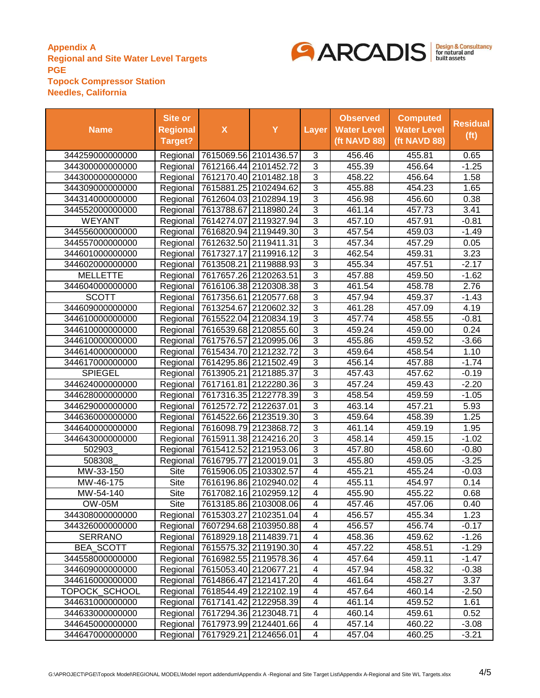

| <b>Name</b>      | Site or<br><b>Regional</b><br><b>Target?</b> | $\boldsymbol{\mathsf{X}}$          | Y                                  | <b>Layer</b>             | <b>Observed</b><br><b>Water Level</b><br>(ft NAVD 88) | <b>Computed</b><br><b>Water Level</b><br>(ft NAVD 88) | <b>Residual</b><br>(f <sub>t</sub> ) |
|------------------|----------------------------------------------|------------------------------------|------------------------------------|--------------------------|-------------------------------------------------------|-------------------------------------------------------|--------------------------------------|
| 344259000000000  |                                              | Regional 7615069.56 2101436.57     |                                    | 3                        | 456.46                                                | 455.81                                                | 0.65                                 |
| 344300000000000  |                                              | Regional 7612166.44 2101452.72     |                                    | $\overline{3}$           | 455.39                                                | 456.64                                                | $-1.25$                              |
| 344300000000000  |                                              | Regional 7612170.40 2101482.18     |                                    | $\overline{3}$           | 458.22                                                | 456.64                                                | 1.58                                 |
| 344309000000000  |                                              | Regional 7615881.25 2102494.62     |                                    | $\overline{3}$           | 455.88                                                | 454.23                                                | 1.65                                 |
| 344314000000000  |                                              | Regional 7612604.03 2102894.19     |                                    | $\overline{3}$           | 456.98                                                | 456.60                                                | 0.38                                 |
| 344552000000000  |                                              | Regional   7613788.67 2118980.24   |                                    | $\overline{3}$           | 461.14                                                | 457.73                                                | 3.41                                 |
| <b>WEYANT</b>    |                                              | Regional   7614274.07 2119327.94   |                                    | $\overline{3}$           | 457.10                                                | 457.91                                                | $-0.81$                              |
| 344556000000000  |                                              | Regional   7616820.94 2119449.30   |                                    | $\overline{3}$           | 457.54                                                | 459.03                                                | $-1.49$                              |
| 344557000000000  |                                              | Regional 7612632.50 2119411.31     |                                    | $\overline{3}$           | 457.34                                                | 457.29                                                | 0.05                                 |
| 344601000000000  |                                              | Regional   7617327.17 2119916.12   |                                    | $\overline{3}$           | 462.54                                                | 459.31                                                | 3.23                                 |
| 344602000000000  |                                              | Regional 7613508.21 2119888.93     |                                    | $\overline{3}$           | 455.34                                                | 457.51                                                | $-2.17$                              |
| <b>MELLETTE</b>  |                                              | Regional 7617657.26 2120263.51     |                                    | $\overline{3}$           | 457.88                                                | 459.50                                                | $-1.62$                              |
| 344604000000000  |                                              | Regional 7616106.38 2120308.38     |                                    | $\overline{3}$           | 461.54                                                | 458.78                                                | 2.76                                 |
| <b>SCOTT</b>     |                                              | Regional 7617356.61 2120577.68     |                                    | $\overline{3}$           | 457.94                                                | 459.37                                                | $-1.43$                              |
| 344609000000000  |                                              | Regional 7613254.67 2120602.32     |                                    | $\overline{3}$           | 461.28                                                | 457.09                                                | 4.19                                 |
| 344610000000000  |                                              | Regional 7615522.04 2120834.19     |                                    | $\overline{3}$           | 457.74                                                | 458.55                                                | $-0.81$                              |
| 344610000000000  |                                              | Regional 7616539.68 2120855.60     |                                    | $\overline{3}$           | 459.24                                                | 459.00                                                | 0.24                                 |
| 344610000000000  |                                              | Regional   7617576.57 2120995.06   |                                    | 3                        | 455.86                                                | 459.52                                                | $-3.66$                              |
| 344614000000000  |                                              | Regional   7615434.70 2121232.72   |                                    | $\overline{3}$           | 459.64                                                | 458.54                                                | 1.10                                 |
| 344617000000000  |                                              | Regional 7614295.86 2121502.49     |                                    | $\overline{3}$           | 456.14                                                | 457.88                                                | $-1.74$                              |
| <b>SPIEGEL</b>   |                                              | Regional   7613905.21   2121885.37 |                                    | $\overline{3}$           | 457.43                                                | 457.62                                                | $-0.19$                              |
| 344624000000000  |                                              | Regional 7617161.81 2122280.36     |                                    | $\overline{3}$           | 457.24                                                | 459.43                                                | $-2.20$                              |
| 344628000000000  |                                              | Regional   7617316.35 2122778.39   |                                    | $\overline{3}$           | 458.54                                                | 459.59                                                | $-1.05$                              |
| 344629000000000  |                                              | Regional   7612572.72 2122637.01   |                                    | $\overline{3}$           | 463.14                                                | 457.21                                                | 5.93                                 |
| 344636000000000  |                                              | Regional   7614522.66 2123519.30   |                                    | $\overline{3}$           | 459.64                                                | 458.39                                                | 1.25                                 |
| 344640000000000  |                                              | Regional   7616098.79 2123868.72   |                                    | 3                        | 461.14                                                | 459.19                                                | 1.95                                 |
| 344643000000000  | Regional                                     | 7615911.38 2124216.20              |                                    | 3                        | 458.14                                                | 459.15                                                | $-1.02$                              |
| 502903           | Regional                                     |                                    | 7615412.52 2121953.06              | $\overline{3}$           | 457.80                                                | 458.60                                                | $-0.80$                              |
| 508308           | Regional                                     |                                    | 7616795.77 2120019.01              | $\overline{3}$           | 455.80                                                | 459.05                                                | $-3.25$                              |
| MW-33-150        | Site                                         | 7615906.05 2103302.57              |                                    | $\overline{\mathbf{4}}$  | 455.21                                                | 455.24                                                | $-0.03$                              |
| MW-46-175        | <b>Site</b>                                  |                                    | 7616196.86 2102940.02              | $\overline{\mathbf{4}}$  | 455.11                                                | 454.97                                                | 0.14                                 |
| MW-54-140        | <b>Site</b>                                  |                                    | 7617082.16 2102959.12              | 4                        | 455.90                                                | 455.22                                                | 0.68                                 |
| OW-05M           | <b>Site</b>                                  |                                    | 7613185.86 2103008.06              | 4                        | 457.46                                                | 457.06                                                | 0.40                                 |
| 344308000000000  |                                              | Regional   7615303.27 2102351.04   |                                    | 4                        | 456.57                                                | 455.34                                                | 1.23                                 |
| 344326000000000  |                                              | Regional 7607294.68 2103950.88     |                                    | $\overline{4}$           | 456.57                                                | 456.74                                                | $-0.17$                              |
| <b>SERRANO</b>   |                                              | Regional 7618929.18 2114839.71     |                                    | 4                        | 458.36                                                | 459.62                                                | $-1.26$                              |
| <b>BEA_SCOTT</b> |                                              | Regional 7615575.32 2119190.30     |                                    | 4                        | 457.22                                                | 458.51                                                | $-1.29$                              |
| 344558000000000  |                                              | Regional 7616982.55 2119578.36     |                                    | 4                        | 457.64                                                | 459.11                                                | $-1.47$                              |
| 344609000000000  |                                              | Regional 7615053.40 2120677.21     |                                    | $\overline{4}$           | 457.94                                                | 458.32                                                | $-0.38$                              |
| 344616000000000  |                                              | Regional 7614866.47 2121417.20     |                                    | $\overline{\mathcal{A}}$ | 461.64                                                | 458.27                                                | 3.37                                 |
| TOPOCK_SCHOOL    |                                              | Regional 7618544.49 2122102.19     |                                    | $\overline{\mathcal{A}}$ | 457.64                                                | 460.14                                                | $-2.50$                              |
| 344631000000000  |                                              | Regional 7617141.42 2122958.39     |                                    | 4                        | 461.14                                                | 459.52                                                | 1.61                                 |
| 344633000000000  |                                              | Regional 7617294.36 2123048.71     |                                    | $\overline{4}$           | 460.14                                                | 459.61                                                | 0.52                                 |
| 344645000000000  |                                              |                                    | Regional   7617973.99   2124401.66 | $\overline{\mathbf{4}}$  | 457.14                                                | 460.22                                                | $-3.08$                              |
| 344647000000000  |                                              | Regional 7617929.21 2124656.01     |                                    | 4                        | 457.04                                                | 460.25                                                | $-3.21$                              |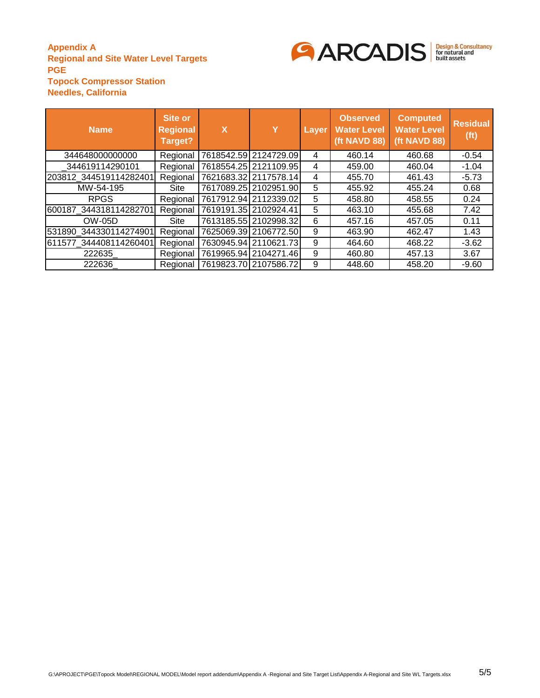

| <b>Name</b>            | Site or<br><b>Regional</b><br>Target? | X | Y                       | Layer | <b>Observed</b><br><b>Water Level</b><br>(ft NAVD 88) | <b>Computed</b><br><b>Water Level</b><br>(ft NAVD 88) | <b>Residual</b><br>(f <sub>t</sub> ) |
|------------------------|---------------------------------------|---|-------------------------|-------|-------------------------------------------------------|-------------------------------------------------------|--------------------------------------|
| 344648000000000        | Regional                              |   | 7618542.59 2124729.09   | 4     | 460.14                                                | 460.68                                                | $-0.54$                              |
| 344619114290101        | Regional                              |   | 7618554.25 2121109.95   | 4     | 459.00                                                | 460.04                                                | $-1.04$                              |
| 203812 344519114282401 | Regional                              |   | 7621683.32 2117578.14   | 4     | 455.70                                                | 461.43                                                | $-5.73$                              |
| MW-54-195              | Site                                  |   | 7617089.25   2102951.90 | 5     | 455.92                                                | 455.24                                                | 0.68                                 |
| <b>RPGS</b>            | Regional                              |   | 7617912.94 2112339.02   | 5     | 458.80                                                | 458.55                                                | 0.24                                 |
| 600187 344318114282701 | Regional                              |   | 7619191.35 2102924.41   | 5     | 463.10                                                | 455.68                                                | 7.42                                 |
| <b>OW-05D</b>          | Site                                  |   | 7613185.55 2102998.32   | 6     | 457.16                                                | 457.05                                                | 0.11                                 |
| 531890 344330114274901 | Regional                              |   | 7625069.39 2106772.50   | 9     | 463.90                                                | 462.47                                                | 1.43                                 |
| 611577 344408114260401 | Regional                              |   | 7630945.94 2110621.73   | 9     | 464.60                                                | 468.22                                                | $-3.62$                              |
| 222635                 | Regional                              |   | 7619965.94 2104271.46   | 9     | 460.80                                                | 457.13                                                | 3.67                                 |
| 222636                 | Regional                              |   | 7619823.70 2107586.72   | 9     | 448.60                                                | 458.20                                                | $-9.60$                              |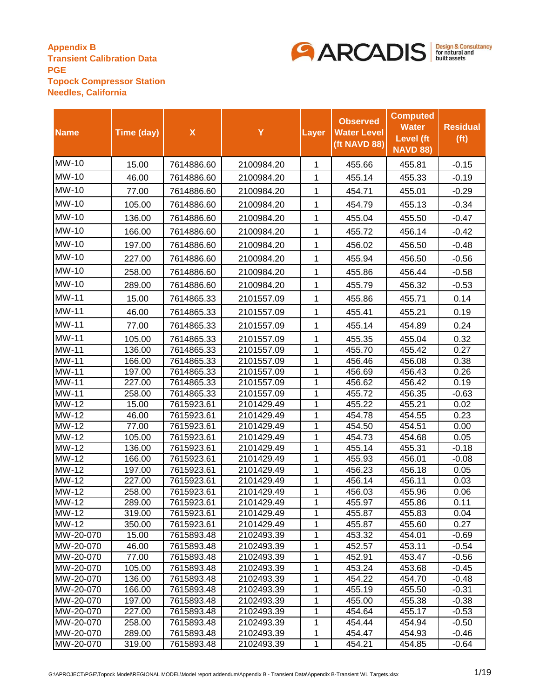

| <b>Name</b>            | Time (day)       | $\pmb{\mathsf{X}}$       | Y                        | Layer  | <b>Observed</b><br><b>Water Level</b><br>(ft NAVD 88) | <b>Computed</b><br><b>Water</b><br><b>Level</b> (ft<br><b>NAVD 88)</b> | <b>Residual</b><br>(f <sup>t</sup> ) |
|------------------------|------------------|--------------------------|--------------------------|--------|-------------------------------------------------------|------------------------------------------------------------------------|--------------------------------------|
| MW-10                  | 15.00            | 7614886.60               | 2100984.20               | 1      | 455.66                                                | 455.81                                                                 | $-0.15$                              |
| MW-10                  | 46.00            | 7614886.60               | 2100984.20               | 1      | 455.14                                                | 455.33                                                                 | $-0.19$                              |
| MW-10                  | 77.00            | 7614886.60               | 2100984.20               | 1      | 454.71                                                | 455.01                                                                 | $-0.29$                              |
| MW-10                  | 105.00           | 7614886.60               | 2100984.20               | 1      | 454.79                                                | 455.13                                                                 | $-0.34$                              |
| MW-10                  | 136.00           | 7614886.60               | 2100984.20               | 1      | 455.04                                                | 455.50                                                                 | $-0.47$                              |
| MW-10                  | 166.00           | 7614886.60               | 2100984.20               | 1      | 455.72                                                | 456.14                                                                 | $-0.42$                              |
| MW-10                  | 197.00           | 7614886.60               | 2100984.20               | 1      | 456.02                                                | 456.50                                                                 | $-0.48$                              |
| MW-10                  |                  |                          |                          |        |                                                       |                                                                        |                                      |
|                        | 227.00           | 7614886.60               | 2100984.20               | 1      | 455.94                                                | 456.50                                                                 | $-0.56$                              |
| MW-10                  | 258.00           | 7614886.60               | 2100984.20               | 1      | 455.86                                                | 456.44                                                                 | $-0.58$                              |
| MW-10                  | 289.00           | 7614886.60               | 2100984.20               | 1      | 455.79                                                | 456.32                                                                 | $-0.53$                              |
| MW-11                  | 15.00            | 7614865.33               | 2101557.09               | 1      | 455.86                                                | 455.71                                                                 | 0.14                                 |
| <b>MW-11</b>           | 46.00            | 7614865.33               | 2101557.09               | 1      | 455.41                                                | 455.21                                                                 | 0.19                                 |
| MW-11                  | 77.00            | 7614865.33               | 2101557.09               | 1      | 455.14                                                | 454.89                                                                 | 0.24                                 |
| MW-11                  | 105.00           | 7614865.33               | 2101557.09               | 1      | 455.35                                                | 455.04                                                                 | 0.32                                 |
| MW-11                  | 136.00           | 7614865.33               | 2101557.09               | 1      | 455.70                                                | 455.42                                                                 | 0.27                                 |
| MW-11                  | 166.00           | 7614865.33               | 2101557.09               | 1      | 456.46                                                | 456.08                                                                 | 0.38                                 |
| MW-11                  | 197.00           | 7614865.33               | 2101557.09               | 1      | 456.69                                                | 456.43                                                                 | 0.26                                 |
| MW-11                  | 227.00           | 7614865.33               | 2101557.09               | 1      | 456.62                                                | 456.42                                                                 | 0.19                                 |
| MW-11                  | 258.00           | 7614865.33               | 2101557.09               | 1      | 455.72                                                | 456.35                                                                 | $-0.63$                              |
| MW-12                  | 15.00            | 7615923.61               | 2101429.49               | 1      | 455.22                                                | 455.21                                                                 | 0.02                                 |
| MW-12                  | 46.00            | 7615923.61               | 2101429.49               | 1      | 454.78                                                | 454.55                                                                 | 0.23                                 |
| MW-12<br>MW-12         | 77.00<br>105.00  | 7615923.61<br>7615923.61 | 2101429.49<br>2101429.49 | 1<br>1 | 454.50<br>454.73                                      | 454.51<br>454.68                                                       | 0.00<br>0.05                         |
| MW-12                  | 136.00           | 7615923.61               | 2101429.49               | 1      | 455.14                                                | 455.31                                                                 | $-0.18$                              |
| MW-12                  | 166.00           | 7615923.61               | 2101429.49               | 1      | 455.93                                                | 456.01                                                                 | $-0.08$                              |
| MW-12                  | 197.00           | 7615923.61               | 2101429.49               | 1      | 456.23                                                | 456.18                                                                 | 0.05                                 |
| MW-12                  | 227.00           | 7615923.61               | 2101429.49               | 1      | 456.14                                                | 456.11                                                                 | 0.03                                 |
| MW-12                  | 258.00           | 7615923.61               | 2101429.49               | 1      | 456.03                                                | 455.96                                                                 | 0.06                                 |
| <b>MW-12</b>           | 289.00           | 7615923.61               | 2101429.49               | 1      | 455.97                                                | 455.86                                                                 | 0.11                                 |
| MW-12                  | 319.00           | 7615923.61               | 2101429.49               | 1      | 455.87                                                | 455.83                                                                 | 0.04                                 |
| MW-12                  | 350.00           | 7615923.61               | 2101429.49               | 1      | 455.87                                                | 455.60                                                                 | 0.27                                 |
| MW-20-070              | 15.00            | 7615893.48               | 2102493.39               | 1      | 453.32                                                | 454.01                                                                 | $-0.69$                              |
| MW-20-070              | 46.00            | 7615893.48               | 2102493.39               | 1      | 452.57                                                | 453.11                                                                 | $-0.54$                              |
| MW-20-070              | 77.00            | 7615893.48               | 2102493.39               | 1      | 452.91                                                | 453.47                                                                 | $-0.56$                              |
| MW-20-070<br>MW-20-070 | 105.00<br>136.00 | 7615893.48<br>7615893.48 | 2102493.39<br>2102493.39 | 1<br>1 | 453.24<br>454.22                                      | 453.68<br>454.70                                                       | $-0.45$<br>-0.48                     |
| MW-20-070              | 166.00           | 7615893.48               | 2102493.39               | 1      | 455.19                                                | 455.50                                                                 | $-0.31$                              |
| MW-20-070              | 197.00           | 7615893.48               | 2102493.39               | 1      | 455.00                                                | 455.38                                                                 | $-0.38$                              |
| MW-20-070              | 227.00           | 7615893.48               | 2102493.39               | 1      | 454.64                                                | 455.17                                                                 | $-0.53$                              |
| MW-20-070              | 258.00           | 7615893.48               | 2102493.39               | 1      | 454.44                                                | 454.94                                                                 | $-0.50$                              |
| MW-20-070              | 289.00           | 7615893.48               | 2102493.39               | 1      | 454.47                                                | 454.93                                                                 | $-0.46$                              |
| MW-20-070              | 319.00           | 7615893.48               | 2102493.39               | 1      | 454.21                                                | 454.85                                                                 | $-0.64$                              |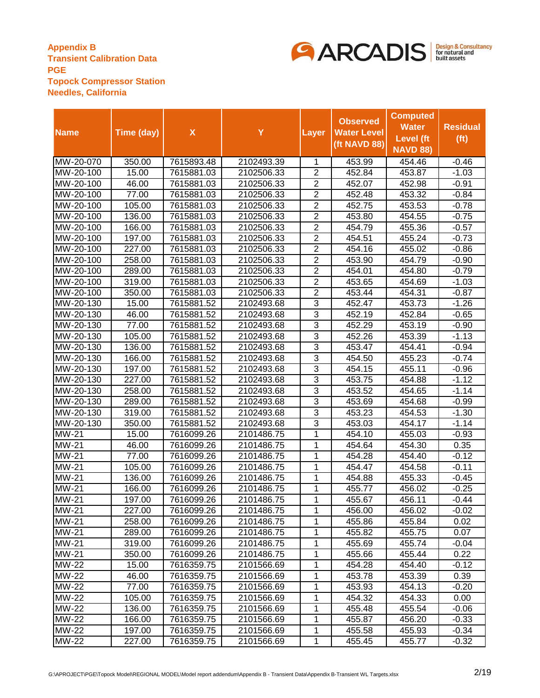

|              |            |                    |            |                | <b>Observed</b>    | <b>Computed</b>  |                   |
|--------------|------------|--------------------|------------|----------------|--------------------|------------------|-------------------|
|              |            |                    |            |                |                    | <b>Water</b>     | <b>Residual</b>   |
| <b>Name</b>  | Time (day) | $\pmb{\mathsf{X}}$ | Y          | Layer          | <b>Water Level</b> | <b>Level</b> (ft | (f <sub>t</sub> ) |
|              |            |                    |            |                | (ft NAVD 88)       | <b>NAVD 88)</b>  |                   |
| MW-20-070    | 350.00     | 7615893.48         | 2102493.39 | 1              | 453.99             | 454.46           | $-0.46$           |
| MW-20-100    | 15.00      | 7615881.03         | 2102506.33 | $\overline{2}$ | 452.84             | 453.87           | $-1.03$           |
| MW-20-100    | 46.00      | 7615881.03         | 2102506.33 | $\overline{2}$ | 452.07             | 452.98           | $-0.91$           |
| MW-20-100    | 77.00      | 7615881.03         | 2102506.33 | $\overline{2}$ | 452.48             | 453.32           | $-0.84$           |
| MW-20-100    | 105.00     | 7615881.03         | 2102506.33 | $\overline{2}$ | 452.75             | 453.53           | $-0.78$           |
| MW-20-100    | 136.00     | 7615881.03         | 2102506.33 | $\overline{2}$ | 453.80             | 454.55           | $-0.75$           |
| MW-20-100    | 166.00     | 7615881.03         | 2102506.33 | $\overline{2}$ | 454.79             | 455.36           | $-0.57$           |
| MW-20-100    | 197.00     | 7615881.03         | 2102506.33 | $\overline{2}$ | 454.51             | 455.24           | $-0.73$           |
| MW-20-100    | 227.00     | 7615881.03         | 2102506.33 | $\overline{2}$ | 454.16             | 455.02           | $-0.86$           |
| MW-20-100    | 258.00     | 7615881.03         | 2102506.33 | $\overline{2}$ | 453.90             | 454.79           | $-0.90$           |
| MW-20-100    | 289.00     | 7615881.03         | 2102506.33 | $\overline{2}$ | 454.01             | 454.80           | $-0.79$           |
| MW-20-100    | 319.00     | 7615881.03         | 2102506.33 | $\overline{2}$ | 453.65             | 454.69           | $-1.03$           |
| MW-20-100    | 350.00     | 7615881.03         | 2102506.33 | $\overline{2}$ | 453.44             | 454.31           | $-0.87$           |
| MW-20-130    | 15.00      | 7615881.52         | 2102493.68 | 3              | 452.47             | 453.73           | $-1.26$           |
| MW-20-130    | 46.00      | 7615881.52         | 2102493.68 | $\overline{3}$ | 452.19             | 452.84           | $-0.65$           |
| MW-20-130    | 77.00      | 7615881.52         | 2102493.68 | 3              | 452.29             | 453.19           | $-0.90$           |
| MW-20-130    | 105.00     | 7615881.52         | 2102493.68 | 3              | 452.26             | 453.39           | $-1.13$           |
| MW-20-130    | 136.00     | 7615881.52         | 2102493.68 | 3              | 453.47             | 454.41           | $-0.94$           |
| MW-20-130    | 166.00     | 7615881.52         | 2102493.68 | 3              | 454.50             | 455.23           | $-0.74$           |
| MW-20-130    | 197.00     | 7615881.52         | 2102493.68 | 3              | 454.15             | 455.11           | $-0.96$           |
| MW-20-130    | 227.00     | 7615881.52         | 2102493.68 | 3              | 453.75             | 454.88           | $-1.12$           |
| MW-20-130    | 258.00     | 7615881.52         | 2102493.68 | 3              | 453.52             | 454.65           | $-1.14$           |
| MW-20-130    | 289.00     | 7615881.52         | 2102493.68 | $\overline{3}$ | 453.69             | 454.68           | $-0.99$           |
| MW-20-130    | 319.00     | 7615881.52         | 2102493.68 | 3              | 453.23             | 454.53           | $-1.30$           |
| MW-20-130    | 350.00     | 7615881.52         | 2102493.68 | 3              | 453.03             | 454.17           | $-1.14$           |
| MW-21        | 15.00      | 7616099.26         | 2101486.75 | 1              | 454.10             | 455.03           | $-0.93$           |
| MW-21        | 46.00      | 7616099.26         | 2101486.75 | $\overline{1}$ | 454.64             | 454.30           | 0.35              |
| <b>MW-21</b> | 77.00      | 7616099.26         | 2101486.75 | 1              | 454.28             | 454.40           | $-0.12$           |
| MW-21        | 105.00     | 7616099.26         | 2101486.75 | 1              | 454.47             | 454.58           | $-0.11$           |
| MW-21        | 136.00     | 7616099.26         | 2101486.75 | 1              | 454.88             | 455.33           | $-0.45$           |
| MW-21        | 166.00     | 7616099.26         | 2101486.75 | 1              | 455.77             | 456.02           | $-0.25$           |
| MW-21        | 197.00     | 7616099.26         | 2101486.75 | 1              | 455.67             | 456.11           | $-0.44$           |
| $MW-21$      | 227.00     | 7616099.26         | 2101486.75 | 1              | 456.00             | 456.02           | $-0.02$           |
| <b>MW-21</b> | 258.00     | 7616099.26         | 2101486.75 | 1              | 455.86             | 455.84           | 0.02              |
| <b>MW-21</b> | 289.00     | 7616099.26         | 2101486.75 | 1              | 455.82             | 455.75           | 0.07              |
| <b>MW-21</b> | 319.00     | 7616099.26         | 2101486.75 | 1              | 455.69             | 455.74           | $-0.04$           |
| <b>MW-21</b> | 350.00     | 7616099.26         | 2101486.75 | 1              | 455.66             | 455.44           | 0.22              |
| <b>MW-22</b> | 15.00      | 7616359.75         | 2101566.69 | 1              | 454.28             | 454.40           | $-0.12$           |
| <b>MW-22</b> | 46.00      | 7616359.75         | 2101566.69 | 1              | 453.78             | 453.39           | 0.39              |
| MW-22        | 77.00      | 7616359.75         | 2101566.69 | 1              | 453.93             | 454.13           | $-0.20$           |
| MW-22        | 105.00     | 7616359.75         | 2101566.69 | 1              | 454.32             | 454.33           | 0.00              |
| <b>MW-22</b> | 136.00     | 7616359.75         | 2101566.69 | 1              | 455.48             | 455.54           | $-0.06$           |
| <b>MW-22</b> | 166.00     | 7616359.75         | 2101566.69 | 1              | 455.87             | 456.20           | $-0.33$           |
| <b>MW-22</b> | 197.00     | 7616359.75         | 2101566.69 | 1              | 455.58             | 455.93           | $-0.34$           |
| <b>MW-22</b> | 227.00     | 7616359.75         | 2101566.69 | 1              | 455.45             | 455.77           | $-0.32$           |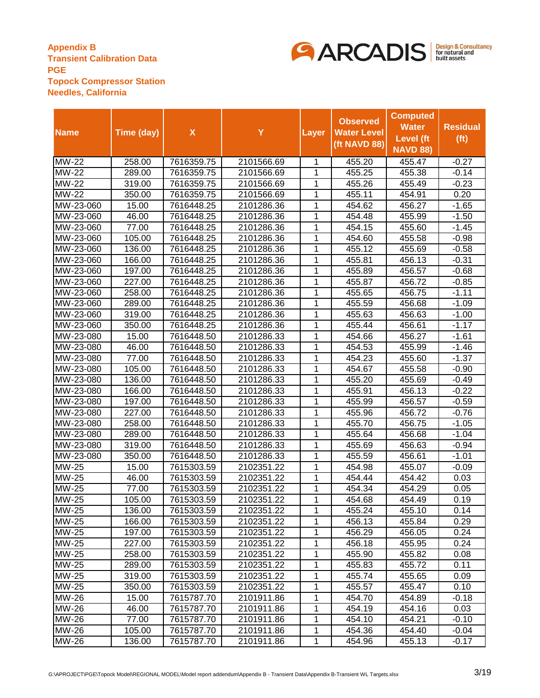

|              |            |                    |            |                | <b>Observed</b>    | <b>Computed</b>  |                   |
|--------------|------------|--------------------|------------|----------------|--------------------|------------------|-------------------|
|              |            |                    |            |                |                    | <b>Water</b>     | <b>Residual</b>   |
| <b>Name</b>  | Time (day) | $\pmb{\mathsf{X}}$ | Y          | Layer          | <b>Water Level</b> | <b>Level</b> (ft | (f <sub>t</sub> ) |
|              |            |                    |            |                | (ft NAVD 88)       | <b>NAVD 88)</b>  |                   |
| <b>MW-22</b> | 258.00     | 7616359.75         | 2101566.69 | 1              | 455.20             | 455.47           | $-0.27$           |
| <b>MW-22</b> | 289.00     | 7616359.75         | 2101566.69 | 1              | 455.25             | 455.38           | $-0.14$           |
| <b>MW-22</b> | 319.00     | 7616359.75         | 2101566.69 | 1              | 455.26             | 455.49           | $-0.23$           |
| <b>MW-22</b> | 350.00     | 7616359.75         | 2101566.69 | 1              | 455.11             | 454.91           | 0.20              |
| MW-23-060    | 15.00      | 7616448.25         | 2101286.36 | 1              | 454.62             | 456.27           | $-1.65$           |
| MW-23-060    | 46.00      | 7616448.25         | 2101286.36 | 1              | 454.48             | 455.99           | $-1.50$           |
| MW-23-060    | 77.00      | 7616448.25         | 2101286.36 | 1              | 454.15             | 455.60           | $-1.45$           |
| MW-23-060    | 105.00     | 7616448.25         | 2101286.36 | 1              | 454.60             | 455.58           | $-0.98$           |
| MW-23-060    | 136.00     | 7616448.25         | 2101286.36 | 1              | 455.12             | 455.69           | $-0.58$           |
| MW-23-060    | 166.00     | 7616448.25         | 2101286.36 | 1              | 455.81             | 456.13           | $-0.31$           |
| MW-23-060    | 197.00     | 7616448.25         | 2101286.36 | 1              | 455.89             | 456.57           | $-0.68$           |
| MW-23-060    | 227.00     | 7616448.25         | 2101286.36 | 1              | 455.87             | 456.72           | $-0.85$           |
| MW-23-060    | 258.00     | 7616448.25         | 2101286.36 | 1              | 455.65             | 456.75           | $-1.11$           |
| MW-23-060    | 289.00     | 7616448.25         | 2101286.36 | 1              | 455.59             | 456.68           | $-1.09$           |
| MW-23-060    | 319.00     | 7616448.25         | 2101286.36 | 1              | 455.63             | 456.63           | $-1.00$           |
| MW-23-060    | 350.00     | 7616448.25         | 2101286.36 | 1              | 455.44             | 456.61           | $-1.17$           |
| MW-23-080    | 15.00      | 7616448.50         | 2101286.33 | 1              | 454.66             | 456.27           | $-1.61$           |
| MW-23-080    | 46.00      | 7616448.50         | 2101286.33 | 1              | 454.53             | 455.99           | $-1.46$           |
| MW-23-080    | 77.00      | 7616448.50         | 2101286.33 | 1              | 454.23             | 455.60           | $-1.37$           |
| MW-23-080    | 105.00     | 7616448.50         | 2101286.33 | 1              | 454.67             | 455.58           | $-0.90$           |
| MW-23-080    | 136.00     | 7616448.50         | 2101286.33 | 1              | 455.20             | 455.69           | $-0.49$           |
| MW-23-080    | 166.00     | 7616448.50         | 2101286.33 | 1              | 455.91             | 456.13           | $-0.22$           |
| MW-23-080    | 197.00     | 7616448.50         | 2101286.33 | 1              | 455.99             | 456.57           | $-0.59$           |
| MW-23-080    | 227.00     | 7616448.50         | 2101286.33 | 1              | 455.96             | 456.72           | $-0.76$           |
| MW-23-080    | 258.00     | 7616448.50         | 2101286.33 | 1              | 455.70             | 456.75           | $-1.05$           |
| MW-23-080    | 289.00     | 7616448.50         | 2101286.33 | 1              | 455.64             | 456.68           | $-1.04$           |
| MW-23-080    | 319.00     | 7616448.50         | 2101286.33 | $\overline{1}$ | 455.69             | 456.63           | $-0.94$           |
| MW-23-080    | 350.00     | 7616448.50         | 2101286.33 | 1              | 455.59             | 456.61           | $-1.01$           |
| <b>MW-25</b> | 15.00      | 7615303.59         | 2102351.22 | 1              | 454.98             | 455.07           | $-0.09$           |
| <b>MW-25</b> | 46.00      | 7615303.59         | 2102351.22 | 1              | 454.44             | 454.42           | 0.03              |
| MW-25        | 77.00      | 7615303.59         | 2102351.22 | 1              | 454.34             | 454.29           | 0.05              |
| <b>MW-25</b> | 105.00     | 7615303.59         | 2102351.22 | 1              | 454.68             | 454.49           | 0.19              |
| MW-25        | 136.00     | 7615303.59         | 2102351.22 | 1              | 455.24             | 455.10           | 0.14              |
| <b>MW-25</b> | 166.00     | 7615303.59         | 2102351.22 | 1              | 456.13             | 455.84           | 0.29              |
| <b>MW-25</b> | 197.00     | 7615303.59         | 2102351.22 | 1              | 456.29             | 456.05           | 0.24              |
| <b>MW-25</b> | 227.00     | 7615303.59         | 2102351.22 | 1              | 456.18             | 455.95           | 0.24              |
| <b>MW-25</b> | 258.00     | 7615303.59         | 2102351.22 | 1              | 455.90             | 455.82           | 0.08              |
| <b>MW-25</b> | 289.00     | 7615303.59         | 2102351.22 | 1              | 455.83             | 455.72           | 0.11              |
| <b>MW-25</b> | 319.00     | 7615303.59         | 2102351.22 | 1              | 455.74             | 455.65           | 0.09              |
| <b>MW-25</b> | 350.00     | 7615303.59         | 2102351.22 | 1              | 455.57             | 455.47           | 0.10              |
| MW-26        | 15.00      | 7615787.70         | 2101911.86 | 1              | 454.70             | 454.89           | $-0.18$           |
| <b>MW-26</b> | 46.00      | 7615787.70         | 2101911.86 | 1              | 454.19             | 454.16           | 0.03              |
| <b>MW-26</b> | 77.00      | 7615787.70         | 2101911.86 | 1              | 454.10             | 454.21           | $-0.10$           |
| <b>MW-26</b> | 105.00     | 7615787.70         | 2101911.86 | 1              | 454.36             | 454.40           | $-0.04$           |
| <b>MW-26</b> | 136.00     | 7615787.70         | 2101911.86 | 1              | 454.96             | 455.13           | $-0.17$           |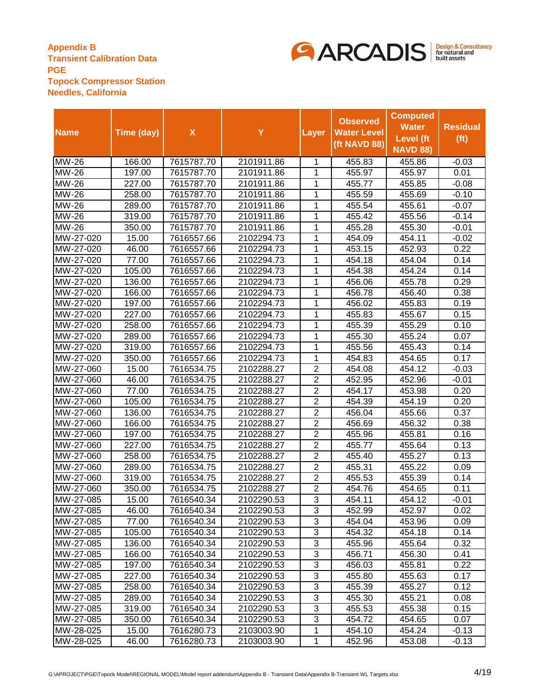

|                            |            |                    |            |                | <b>Observed</b>    | <b>Computed</b>  |                   |
|----------------------------|------------|--------------------|------------|----------------|--------------------|------------------|-------------------|
|                            |            | $\pmb{\mathsf{X}}$ | Y          |                | <b>Water Level</b> | <b>Water</b>     | <b>Residual</b>   |
| <b>Name</b>                | Time (day) |                    |            | Layer          |                    | <b>Level</b> (ft | (f <sub>t</sub> ) |
|                            |            |                    |            |                | (ft NAVD 88)       | <b>NAVD 88)</b>  |                   |
| <b>MW-26</b>               | 166.00     | 7615787.70         | 2101911.86 | 1              | 455.83             | 455.86           | $-0.03$           |
| <b>MW-26</b>               | 197.00     | 7615787.70         | 2101911.86 | 1              | 455.97             | 455.97           | 0.01              |
| $\overline{\text{MW}}$ -26 | 227.00     | 7615787.70         | 2101911.86 | 1              | 455.77             | 455.85           | $-0.08$           |
| <b>MW-26</b>               | 258.00     | 7615787.70         | 2101911.86 | 1              | 455.59             | 455.69           | $-0.10$           |
| <b>MW-26</b>               | 289.00     | 7615787.70         | 2101911.86 | 1              | 455.54             | 455.61           | $-0.07$           |
| <b>MW-26</b>               | 319.00     | 7615787.70         | 2101911.86 | 1              | 455.42             | 455.56           | $-0.14$           |
| <b>MW-26</b>               | 350.00     | 7615787.70         | 2101911.86 | 1              | 455.28             | 455.30           | $-0.01$           |
| MW-27-020                  | 15.00      | 7616557.66         | 2102294.73 | 1              | 454.09             | 454.11           | $-0.02$           |
| MW-27-020                  | 46.00      | 7616557.66         | 2102294.73 | 1              | 453.15             | 452.93           | 0.22              |
| MW-27-020                  | 77.00      | 7616557.66         | 2102294.73 | 1              | 454.18             | 454.04           | 0.14              |
| MW-27-020                  | 105.00     | 7616557.66         | 2102294.73 | $\mathbf 1$    | 454.38             | 454.24           | 0.14              |
| MW-27-020                  | 136.00     | 7616557.66         | 2102294.73 | 1              | 456.06             | 455.78           | 0.29              |
| MW-27-020                  | 166.00     | 7616557.66         | 2102294.73 | 1              | 456.78             | 456.40           | 0.38              |
| MW-27-020                  | 197.00     | 7616557.66         | 2102294.73 | 1              | 456.02             | 455.83           | 0.19              |
| MW-27-020                  | 227.00     | 7616557.66         | 2102294.73 | 1              | 455.83             | 455.67           | 0.15              |
| MW-27-020                  | 258.00     | 7616557.66         | 2102294.73 | 1              | 455.39             | 455.29           | 0.10              |
| MW-27-020                  | 289.00     | 7616557.66         | 2102294.73 | 1              | 455.30             | 455.24           | 0.07              |
| MW-27-020                  | 319.00     | 7616557.66         | 2102294.73 | 1              | 455.56             | 455.43           | 0.14              |
| MW-27-020                  | 350.00     | 7616557.66         | 2102294.73 | 1              | 454.83             | 454.65           | 0.17              |
| MW-27-060                  | 15.00      | 7616534.75         | 2102288.27 | $\overline{2}$ | 454.08             | 454.12           | $-0.03$           |
| MW-27-060                  | 46.00      | 7616534.75         | 2102288.27 | $\overline{2}$ | 452.95             | 452.96           | $-0.01$           |
| MW-27-060                  | 77.00      | 7616534.75         | 2102288.27 | 2              | 454.17             | 453.98           | 0.20              |
| MW-27-060                  | 105.00     | 7616534.75         | 2102288.27 | $\overline{2}$ | 454.39             | 454.19           | 0.20              |
| MW-27-060                  | 136.00     | 7616534.75         | 2102288.27 | $\overline{2}$ | 456.04             | 455.66           | 0.37              |
| MW-27-060                  | 166.00     | 7616534.75         | 2102288.27 | $\overline{2}$ | 456.69             | 456.32           | 0.38              |
| MW-27-060                  | 197.00     | 7616534.75         | 2102288.27 | $\overline{2}$ | 455.96             | 455.81           | 0.16              |
| MW-27-060                  | 227.00     | 7616534.75         | 2102288.27 | $\overline{2}$ | 455.77             | 455.64           | 0.13              |
| MW-27-060                  | 258.00     | 7616534.75         | 2102288.27 | $\overline{2}$ | 455.40             | 455.27           | 0.13              |
| MW-27-060                  | 289.00     | 7616534.75         | 2102288.27 | $\overline{2}$ | 455.31             | 455.22           | 0.09              |
| MW-27-060                  | 319.00     | 7616534.75         | 2102288.27 | $\overline{2}$ | 455.53             | 455.39           | 0.14              |
| MW-27-060                  | 350.00     | 7616534.75         | 2102288.27 | $\overline{2}$ | 454.76             | 454.65           | 0.11              |
| MW-27-085                  | 15.00      | 7616540.34         | 2102290.53 | 3              | 454.11             | 454.12           | $-0.01$           |
| MW-27-085                  | 46.00      | 7616540.34         | 2102290.53 | 3              | 452.99             | 452.97           | 0.02              |
| MW-27-085                  | 77.00      | 7616540.34         | 2102290.53 | 3              | 454.04             | 453.96           | 0.09              |
| MW-27-085                  | 105.00     | 7616540.34         | 2102290.53 | 3              | 454.32             | 454.18           | 0.14              |
| MW-27-085                  | 136.00     | 7616540.34         | 2102290.53 | 3              | 455.96             | 455.64           | 0.32              |
| MW-27-085                  | 166.00     | 7616540.34         | 2102290.53 | 3              | 456.71             | 456.30           | 0.41              |
| MW-27-085                  | 197.00     | 7616540.34         | 2102290.53 | 3              | 456.03             | 455.81           | 0.22              |
| MW-27-085                  | 227.00     | 7616540.34         | 2102290.53 | 3              | 455.80             | 455.63           | 0.17              |
| MW-27-085                  | 258.00     | 7616540.34         | 2102290.53 | 3              | 455.39             | 455.27           | 0.12              |
| MW-27-085                  | 289.00     | 7616540.34         | 2102290.53 | 3              | 455.30             | 455.21           | 0.08              |
| MW-27-085                  | 319.00     | 7616540.34         | 2102290.53 | 3              | 455.53             | 455.38           | 0.15              |
| MW-27-085                  | 350.00     | 7616540.34         | 2102290.53 | 3              | 454.72             | 454.65           | 0.07              |
| MW-28-025                  | 15.00      | 7616280.73         | 2103003.90 | 1              | 454.10             | 454.24           | $-0.13$           |
| MW-28-025                  | 46.00      | 7616280.73         | 2103003.90 | 1              | 452.96             | 453.08           | $-0.13$           |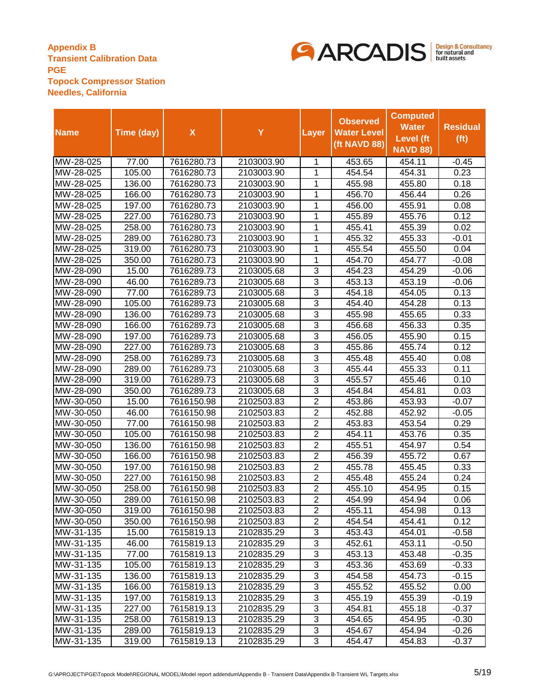

|             |            |                    |            |                | <b>Observed</b>    | <b>Computed</b>  |                   |
|-------------|------------|--------------------|------------|----------------|--------------------|------------------|-------------------|
|             |            |                    |            |                |                    | <b>Water</b>     | <b>Residual</b>   |
| <b>Name</b> | Time (day) | $\pmb{\mathsf{X}}$ | Y          | Layer          | <b>Water Level</b> | <b>Level</b> (ft | (f <sub>t</sub> ) |
|             |            |                    |            |                | (ft NAVD 88)       | <b>NAVD 88)</b>  |                   |
| MW-28-025   | 77.00      | 7616280.73         | 2103003.90 | 1              | 453.65             | 454.11           | $-0.45$           |
| MW-28-025   | 105.00     | 7616280.73         | 2103003.90 | 1              | 454.54             | 454.31           | 0.23              |
| MW-28-025   | 136.00     | 7616280.73         | 2103003.90 | 1              | 455.98             | 455.80           | 0.18              |
| MW-28-025   | 166.00     | 7616280.73         | 2103003.90 | 1              | 456.70             | 456.44           | 0.26              |
| MW-28-025   | 197.00     | 7616280.73         | 2103003.90 | 1              | 456.00             | 455.91           | 0.08              |
| MW-28-025   | 227.00     | 7616280.73         | 2103003.90 | 1              | 455.89             | 455.76           | 0.12              |
| MW-28-025   | 258.00     | 7616280.73         | 2103003.90 | 1              | 455.41             | 455.39           | 0.02              |
| MW-28-025   | 289.00     | 7616280.73         | 2103003.90 | 1              | 455.32             | 455.33           | $-0.01$           |
| MW-28-025   | 319.00     | 7616280.73         | 2103003.90 | 1              | 455.54             | 455.50           | 0.04              |
| MW-28-025   | 350.00     | 7616280.73         | 2103003.90 | 1              | 454.70             | 454.77           | $-0.08$           |
| MW-28-090   | 15.00      | 7616289.73         | 2103005.68 | 3              | 454.23             | 454.29           | $-0.06$           |
| MW-28-090   | 46.00      | 7616289.73         | 2103005.68 | $\overline{3}$ | 453.13             | 453.19           | $-0.06$           |
| MW-28-090   | 77.00      | 7616289.73         | 2103005.68 | 3              | 454.18             | 454.05           | 0.13              |
| MW-28-090   | 105.00     | 7616289.73         | 2103005.68 | $\overline{3}$ | 454.40             | 454.28           | 0.13              |
| MW-28-090   | 136.00     | 7616289.73         | 2103005.68 | 3              | 455.98             | 455.65           | 0.33              |
| MW-28-090   | 166.00     | 7616289.73         | 2103005.68 | 3              | 456.68             | 456.33           | 0.35              |
| MW-28-090   | 197.00     | 7616289.73         | 2103005.68 | 3              | 456.05             | 455.90           | 0.15              |
| MW-28-090   | 227.00     | 7616289.73         | 2103005.68 | 3              | 455.86             | 455.74           | 0.12              |
| MW-28-090   | 258.00     | 7616289.73         | 2103005.68 | 3              | 455.48             | 455.40           | 0.08              |
| MW-28-090   | 289.00     | 7616289.73         | 2103005.68 | 3              | 455.44             | 455.33           | 0.11              |
| MW-28-090   | 319.00     | 7616289.73         | 2103005.68 | 3              | 455.57             | 455.46           | 0.10              |
| MW-28-090   | 350.00     | 7616289.73         | 2103005.68 | 3              | 454.84             | 454.81           | 0.03              |
| MW-30-050   | 15.00      | 7616150.98         | 2102503.83 | $\overline{2}$ | 453.86             | 453.93           | $-0.07$           |
| MW-30-050   | 46.00      | 7616150.98         | 2102503.83 | $\overline{2}$ | 452.88             | 452.92           | $-0.05$           |
| MW-30-050   | 77.00      | 7616150.98         | 2102503.83 | $\overline{2}$ | 453.83             | 453.54           | 0.29              |
| MW-30-050   | 105.00     | 7616150.98         | 2102503.83 | $\overline{2}$ | 454.11             | 453.76           | 0.35              |
| MW-30-050   | 136.00     | 7616150.98         | 2102503.83 | $\overline{2}$ | 455.51             | 454.97           | 0.54              |
| MW-30-050   | 166.00     | 7616150.98         | 2102503.83 | $\overline{2}$ | 456.39             | 455.72           | 0.67              |
| MW-30-050   | 197.00     | 7616150.98         | 2102503.83 | $\overline{2}$ | 455.78             | 455.45           | 0.33              |
| MW-30-050   | 227.00     | 7616150.98         | 2102503.83 | $\overline{c}$ | 455.48             | 455.24           | 0.24              |
| MW-30-050   | 258.00     | 7616150.98         | 2102503.83 | $\overline{2}$ | 455.10             | 454.95           | 0.15              |
| MW-30-050   | 289.00     | 7616150.98         | 2102503.83 | $\overline{2}$ | 454.99             | 454.94           | 0.06              |
| MW-30-050   | 319.00     | 7616150.98         | 2102503.83 | 2              | 455.11             | 454.98           | 0.13              |
| MW-30-050   | 350.00     | 7616150.98         | 2102503.83 | 2              | 454.54             | 454.41           | 0.12              |
| MW-31-135   | 15.00      | 7615819.13         | 2102835.29 | 3              | 453.43             | 454.01           | $-0.58$           |
| MW-31-135   | 46.00      | 7615819.13         | 2102835.29 | 3              | 452.61             | 453.11           | $-0.50$           |
| MW-31-135   | 77.00      | 7615819.13         | 2102835.29 | 3              | 453.13             | 453.48           | $-0.35$           |
| MW-31-135   | 105.00     | 7615819.13         | 2102835.29 | 3              | 453.36             | 453.69           | $-0.33$           |
| MW-31-135   | 136.00     | 7615819.13         | 2102835.29 | 3              | 454.58             | 454.73           | $-0.15$           |
| MW-31-135   | 166.00     | 7615819.13         | 2102835.29 | 3              | 455.52             | 455.52           | 0.00              |
| MW-31-135   | 197.00     | 7615819.13         | 2102835.29 | 3              | 455.19             | 455.39           | $-0.19$           |
| MW-31-135   | 227.00     | 7615819.13         | 2102835.29 | 3              | 454.81             | 455.18           | $-0.37$           |
| MW-31-135   | 258.00     | 7615819.13         | 2102835.29 | 3              | 454.65             | 454.95           | $-0.30$           |
| MW-31-135   | 289.00     | 7615819.13         | 2102835.29 | 3              | 454.67             | 454.94           | $-0.26$           |
| MW-31-135   | 319.00     | 7615819.13         | 2102835.29 | 3              | 454.47             | 454.83           | $-0.37$           |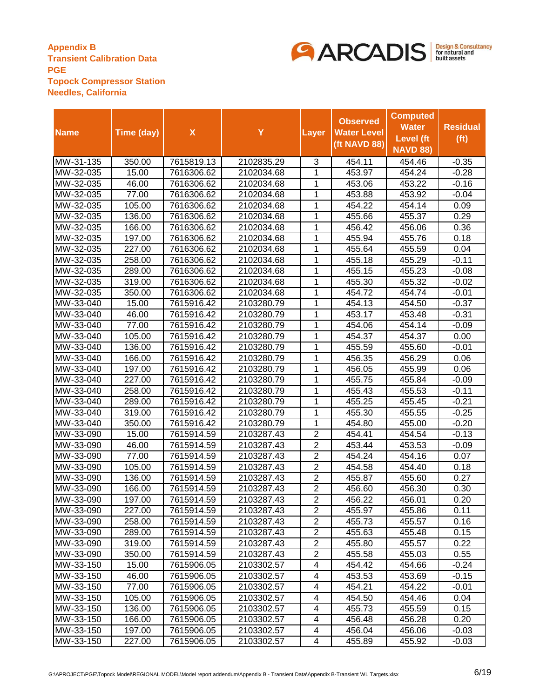

|             |            |                    |            |                          | <b>Observed</b>    | <b>Computed</b>  |                   |
|-------------|------------|--------------------|------------|--------------------------|--------------------|------------------|-------------------|
| <b>Name</b> | Time (day) | $\pmb{\mathsf{X}}$ | Y          | Layer                    | <b>Water Level</b> | <b>Water</b>     | <b>Residual</b>   |
|             |            |                    |            |                          | (ft NAVD 88)       | <b>Level</b> (ft | (f <sup>t</sup> ) |
|             |            |                    |            |                          |                    | <b>NAVD 88)</b>  |                   |
| MW-31-135   | 350.00     | 7615819.13         | 2102835.29 | 3                        | 454.11             | 454.46           | $-0.35$           |
| MW-32-035   | 15.00      | 7616306.62         | 2102034.68 | 1                        | 453.97             | 454.24           | $-0.28$           |
| MW-32-035   | 46.00      | 7616306.62         | 2102034.68 | 1                        | 453.06             | 453.22           | $-0.16$           |
| MW-32-035   | 77.00      | 7616306.62         | 2102034.68 | 1                        | 453.88             | 453.92           | $-0.04$           |
| MW-32-035   | 105.00     | 7616306.62         | 2102034.68 | 1                        | 454.22             | 454.14           | 0.09              |
| MW-32-035   | 136.00     | 7616306.62         | 2102034.68 | 1                        | 455.66             | 455.37           | 0.29              |
| MW-32-035   | 166.00     | 7616306.62         | 2102034.68 | 1                        | 456.42             | 456.06           | 0.36              |
| MW-32-035   | 197.00     | 7616306.62         | 2102034.68 | 1                        | 455.94             | 455.76           | 0.18              |
| MW-32-035   | 227.00     | 7616306.62         | 2102034.68 | 1                        | 455.64             | 455.59           | 0.04              |
| MW-32-035   | 258.00     | 7616306.62         | 2102034.68 | 1                        | 455.18             | 455.29           | $-0.11$           |
| MW-32-035   | 289.00     | 7616306.62         | 2102034.68 | 1                        | 455.15             | 455.23           | $-0.08$           |
| MW-32-035   | 319.00     | 7616306.62         | 2102034.68 | 1                        | 455.30             | 455.32           | $-0.02$           |
| MW-32-035   | 350.00     | 7616306.62         | 2102034.68 | 1                        | 454.72             | 454.74           | $-0.01$           |
| MW-33-040   | 15.00      | 7615916.42         | 2103280.79 | 1                        | 454.13             | 454.50           | $-0.37$           |
| MW-33-040   | 46.00      | 7615916.42         | 2103280.79 | 1                        | 453.17             | 453.48           | $-0.31$           |
| MW-33-040   | 77.00      | 7615916.42         | 2103280.79 | 1                        | 454.06             | 454.14           | $-0.09$           |
| MW-33-040   | 105.00     | 7615916.42         | 2103280.79 | 1                        | 454.37             | 454.37           | 0.00              |
| MW-33-040   | 136.00     | 7615916.42         | 2103280.79 | 1                        | 455.59             | 455.60           | $-0.01$           |
| MW-33-040   | 166.00     | 7615916.42         | 2103280.79 | 1                        | 456.35             | 456.29           | 0.06              |
| MW-33-040   | 197.00     | 7615916.42         | 2103280.79 | 1                        | 456.05             | 455.99           | 0.06              |
| MW-33-040   | 227.00     | 7615916.42         | 2103280.79 | 1                        | 455.75             | 455.84           | $-0.09$           |
| MW-33-040   | 258.00     | 7615916.42         | 2103280.79 | 1                        | 455.43             | 455.53           | $-0.11$           |
| MW-33-040   | 289.00     | 7615916.42         | 2103280.79 | 1                        | 455.25             | 455.45           | $-0.21$           |
| MW-33-040   | 319.00     | 7615916.42         | 2103280.79 | 1                        | 455.30             | 455.55           | $-0.25$           |
| MW-33-040   | 350.00     | 7615916.42         | 2103280.79 | 1                        | 454.80             | 455.00           | $-0.20$           |
| MW-33-090   | 15.00      | 7615914.59         | 2103287.43 | $\overline{2}$           | 454.41             | 454.54           | $-0.13$           |
| MW-33-090   | 46.00      | 7615914.59         | 2103287.43 | $\overline{2}$           | 453.44             | 453.53           | $-0.09$           |
| MW-33-090   | 77.00      | 7615914.59         | 2103287.43 | $\overline{2}$           | 454.24             | 454.16           | 0.07              |
| MW-33-090   | 105.00     | 7615914.59         | 2103287.43 | $\overline{c}$           | 454.58             | 454.40           | 0.18              |
| MW-33-090   | 136.00     | 7615914.59         | 2103287.43 | $\overline{2}$           | 455.87             | 455.60           | 0.27              |
| MW-33-090   | 166.00     | 7615914.59         | 2103287.43 | $\overline{2}$           | 456.60             | 456.30           | 0.30              |
| MW-33-090   | 197.00     | 7615914.59         | 2103287.43 | $\overline{2}$           | 456.22             | 456.01           | 0.20              |
| MW-33-090   | 227.00     | 7615914.59         | 2103287.43 | 2                        | 455.97             | 455.86           | 0.11              |
| MW-33-090   | 258.00     | 7615914.59         | 2103287.43 | $\overline{2}$           | 455.73             | 455.57           | 0.16              |
| MW-33-090   | 289.00     | 7615914.59         | 2103287.43 | $\overline{2}$           | 455.63             | 455.48           | 0.15              |
| MW-33-090   | 319.00     | 7615914.59         | 2103287.43 | $\overline{2}$           | 455.80             | 455.57           | 0.22              |
| MW-33-090   | 350.00     | 7615914.59         | 2103287.43 | $\overline{2}$           | 455.58             | 455.03           | 0.55              |
| MW-33-150   | 15.00      | 7615906.05         | 2103302.57 | 4                        | 454.42             | 454.66           | -0.24             |
| MW-33-150   | 46.00      | 7615906.05         | 2103302.57 | 4                        | 453.53             | 453.69           | $-0.15$           |
| MW-33-150   | 77.00      | 7615906.05         | 2103302.57 | $\overline{\mathcal{A}}$ | 454.21             | 454.22           | $-0.01$           |
| MW-33-150   | 105.00     | 7615906.05         | 2103302.57 | 4                        | 454.50             | 454.46           | 0.04              |
| MW-33-150   | 136.00     | 7615906.05         | 2103302.57 | 4                        | 455.73             | 455.59           | 0.15              |
| MW-33-150   | 166.00     | 7615906.05         | 2103302.57 | 4                        | 456.48             | 456.28           | 0.20              |
| MW-33-150   | 197.00     | 7615906.05         | 2103302.57 | 4                        | 456.04             | 456.06           | $-0.03$           |
| MW-33-150   | 227.00     | 7615906.05         | 2103302.57 | 4                        | 455.89             | 455.92           | $-0.03$           |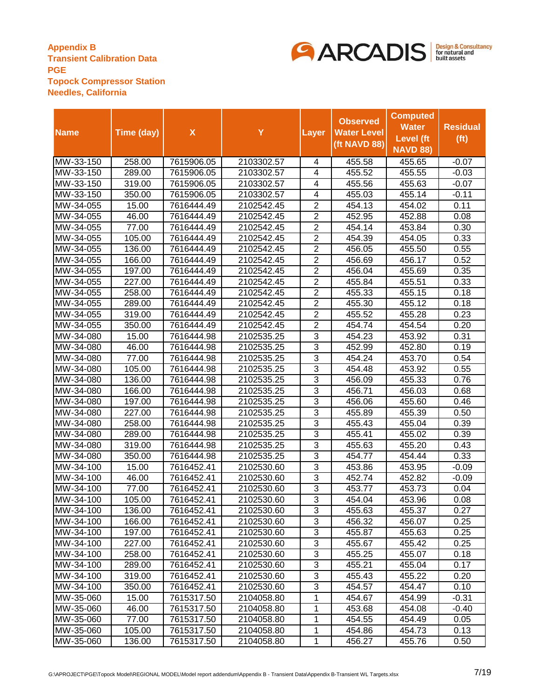

|             |            |                    |            |                | <b>Observed</b>    | <b>Computed</b>  |                   |
|-------------|------------|--------------------|------------|----------------|--------------------|------------------|-------------------|
| <b>Name</b> | Time (day) | $\pmb{\mathsf{X}}$ | Y          | Layer          | <b>Water Level</b> | <b>Water</b>     | <b>Residual</b>   |
|             |            |                    |            |                | (ft NAVD 88)       | <b>Level</b> (ft | (f <sup>t</sup> ) |
|             |            |                    |            |                |                    | <b>NAVD 88)</b>  |                   |
| MW-33-150   | 258.00     | 7615906.05         | 2103302.57 | 4              | 455.58             | 455.65           | $-0.07$           |
| MW-33-150   | 289.00     | 7615906.05         | 2103302.57 | 4              | 455.52             | 455.55           | $-0.03$           |
| MW-33-150   | 319.00     | 7615906.05         | 2103302.57 | 4              | 455.56             | 455.63           | $-0.07$           |
| MW-33-150   | 350.00     | 7615906.05         | 2103302.57 | 4              | 455.03             | 455.14           | $-0.11$           |
| MW-34-055   | 15.00      | 7616444.49         | 2102542.45 | $\overline{2}$ | 454.13             | 454.02           | 0.11              |
| MW-34-055   | 46.00      | 7616444.49         | 2102542.45 | $\overline{2}$ | 452.95             | 452.88           | 0.08              |
| MW-34-055   | 77.00      | 7616444.49         | 2102542.45 | $\overline{2}$ | 454.14             | 453.84           | 0.30              |
| MW-34-055   | 105.00     | 7616444.49         | 2102542.45 | $\overline{2}$ | 454.39             | 454.05           | 0.33              |
| MW-34-055   | 136.00     | 7616444.49         | 2102542.45 | $\overline{2}$ | 456.05             | 455.50           | 0.55              |
| MW-34-055   | 166.00     | 7616444.49         | 2102542.45 | $\overline{2}$ | 456.69             | 456.17           | 0.52              |
| MW-34-055   | 197.00     | 7616444.49         | 2102542.45 | $\overline{2}$ | 456.04             | 455.69           | 0.35              |
| MW-34-055   | 227.00     | 7616444.49         | 2102542.45 | $\overline{2}$ | 455.84             | 455.51           | 0.33              |
| MW-34-055   | 258.00     | 7616444.49         | 2102542.45 | $\overline{2}$ | 455.33             | 455.15           | 0.18              |
| MW-34-055   | 289.00     | 7616444.49         | 2102542.45 | $\overline{c}$ | 455.30             | 455.12           | 0.18              |
| MW-34-055   | 319.00     | 7616444.49         | 2102542.45 | $\overline{2}$ | 455.52             | 455.28           | 0.23              |
| MW-34-055   | 350.00     | 7616444.49         | 2102542.45 | $\overline{2}$ | 454.74             | 454.54           | 0.20              |
| MW-34-080   | 15.00      | 7616444.98         | 2102535.25 | 3              | 454.23             | 453.92           | 0.31              |
| MW-34-080   | 46.00      | 7616444.98         | 2102535.25 | 3              | 452.99             | 452.80           | 0.19              |
| MW-34-080   | 77.00      | 7616444.98         | 2102535.25 | 3              | 454.24             | 453.70           | 0.54              |
| MW-34-080   | 105.00     | 7616444.98         | 2102535.25 | 3              | 454.48             | 453.92           | 0.55              |
| MW-34-080   | 136.00     | 7616444.98         | 2102535.25 | 3              | 456.09             | 455.33           | 0.76              |
| MW-34-080   | 166.00     | 7616444.98         | 2102535.25 | 3              | 456.71             | 456.03           | 0.68              |
| MW-34-080   | 197.00     | 7616444.98         | 2102535.25 | $\overline{3}$ | 456.06             | 455.60           | 0.46              |
| MW-34-080   | 227.00     | 7616444.98         | 2102535.25 | 3              | 455.89             | 455.39           | 0.50              |
| MW-34-080   | 258.00     | 7616444.98         | 2102535.25 | 3              | 455.43             | 455.04           | 0.39              |
| MW-34-080   | 289.00     | 7616444.98         | 2102535.25 | 3              | 455.41             | 455.02           | 0.39              |
| MW-34-080   | 319.00     | 7616444.98         | 2102535.25 | $\overline{3}$ | 455.63             | 455.20           | 0.43              |
| MW-34-080   | 350.00     | 7616444.98         | 2102535.25 | 3              | 454.77             | 454.44           | 0.33              |
| MW-34-100   | 15.00      | 7616452.41         | 2102530.60 | $\overline{3}$ | 453.86             | 453.95           | $-0.09$           |
| MW-34-100   | 46.00      | 7616452.41         | 2102530.60 | $\overline{3}$ | 452.74             | 452.82           | $-0.09$           |
| MW-34-100   | 77.00      | 7616452.41         | 2102530.60 | $\overline{3}$ | 453.77             | 453.73           | 0.04              |
| MW-34-100   | 105.00     | 7616452.41         | 2102530.60 | $\overline{3}$ | 454.04             | 453.96           | 0.08              |
| MW-34-100   | 136.00     | 7616452.41         | 2102530.60 | 3              | 455.63             | 455.37           | 0.27              |
| MW-34-100   | 166.00     | 7616452.41         | 2102530.60 | 3              | 456.32             | 456.07           | 0.25              |
| MW-34-100   | 197.00     | 7616452.41         | 2102530.60 | 3              | 455.87             | 455.63           | 0.25              |
| MW-34-100   | 227.00     | 7616452.41         | 2102530.60 | 3              | 455.67             | 455.42           | 0.25              |
| MW-34-100   | 258.00     | 7616452.41         | 2102530.60 | 3              | 455.25             | 455.07           | 0.18              |
| MW-34-100   | 289.00     | 7616452.41         | 2102530.60 | 3              | 455.21             | 455.04           | 0.17              |
| MW-34-100   | 319.00     | 7616452.41         | 2102530.60 | 3              | 455.43             | 455.22           | 0.20              |
| MW-34-100   | 350.00     | 7616452.41         | 2102530.60 | 3              | 454.57             | 454.47           | 0.10              |
| MW-35-060   | 15.00      | 7615317.50         | 2104058.80 | 1              | 454.67             | 454.99           | $-0.31$           |
| MW-35-060   | 46.00      | 7615317.50         | 2104058.80 | 1              | 453.68             | 454.08           | -0.40             |
| MW-35-060   | 77.00      | 7615317.50         | 2104058.80 | 1              | 454.55             | 454.49           | 0.05              |
| MW-35-060   | 105.00     | 7615317.50         | 2104058.80 | 1              | 454.86             | 454.73           | 0.13              |
| MW-35-060   | 136.00     | 7615317.50         | 2104058.80 | 1              | 456.27             | 455.76           | 0.50              |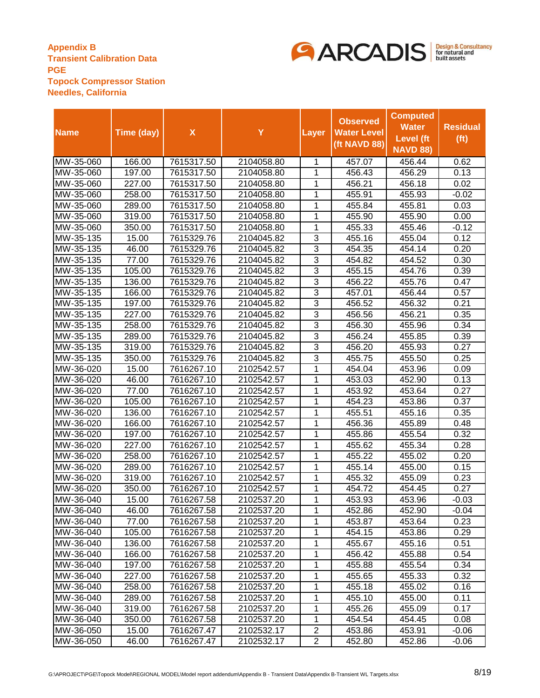

|             |            |                    |            |                | <b>Observed</b>    | <b>Computed</b>  |                   |
|-------------|------------|--------------------|------------|----------------|--------------------|------------------|-------------------|
|             |            |                    |            |                |                    | <b>Water</b>     | <b>Residual</b>   |
| <b>Name</b> | Time (day) | $\pmb{\mathsf{X}}$ | Y          | Layer          | <b>Water Level</b> | <b>Level</b> (ft | (f <sub>t</sub> ) |
|             |            |                    |            |                | (ft NAVD 88)       | <b>NAVD 88)</b>  |                   |
| MW-35-060   | 166.00     | 7615317.50         | 2104058.80 | 1              | 457.07             | 456.44           | 0.62              |
| MW-35-060   | 197.00     | 7615317.50         | 2104058.80 | 1              | 456.43             | 456.29           | 0.13              |
| MW-35-060   | 227.00     | 7615317.50         | 2104058.80 | 1              | 456.21             | 456.18           | 0.02              |
| MW-35-060   | 258.00     | 7615317.50         | 2104058.80 | 1              | 455.91             | 455.93           | $-0.02$           |
| MW-35-060   | 289.00     | 7615317.50         | 2104058.80 | 1              | 455.84             | 455.81           | 0.03              |
| MW-35-060   | 319.00     | 7615317.50         | 2104058.80 | 1              | 455.90             | 455.90           | 0.00              |
| MW-35-060   | 350.00     | 7615317.50         | 2104058.80 | 1              | 455.33             | 455.46           | $-0.12$           |
| MW-35-135   | 15.00      | 7615329.76         | 2104045.82 | 3              | 455.16             | 455.04           | 0.12              |
| MW-35-135   | 46.00      | 7615329.76         | 2104045.82 | 3              | 454.35             | 454.14           | 0.20              |
| MW-35-135   | 77.00      | 7615329.76         | 2104045.82 | 3              | 454.82             | 454.52           | 0.30              |
| MW-35-135   | 105.00     | 7615329.76         | 2104045.82 | 3              | 455.15             | 454.76           | 0.39              |
| MW-35-135   | 136.00     | 7615329.76         | 2104045.82 | $\overline{3}$ | 456.22             | 455.76           | 0.47              |
| MW-35-135   | 166.00     | 7615329.76         | 2104045.82 | $\overline{3}$ | 457.01             | 456.44           | 0.57              |
| MW-35-135   | 197.00     | 7615329.76         | 2104045.82 | $\overline{3}$ | 456.52             | 456.32           | 0.21              |
| MW-35-135   | 227.00     | 7615329.76         | 2104045.82 | $\overline{3}$ | 456.56             | 456.21           | 0.35              |
| MW-35-135   | 258.00     | 7615329.76         | 2104045.82 | $\overline{3}$ | 456.30             | 455.96           | 0.34              |
| MW-35-135   | 289.00     | 7615329.76         | 2104045.82 | 3              | 456.24             | 455.85           | 0.39              |
| MW-35-135   | 319.00     | 7615329.76         | 2104045.82 | 3              | 456.20             | 455.93           | 0.27              |
| MW-35-135   | 350.00     | 7615329.76         | 2104045.82 | 3              | 455.75             | 455.50           | 0.25              |
| MW-36-020   | 15.00      | 7616267.10         | 2102542.57 | 1              | 454.04             | 453.96           | 0.09              |
| MW-36-020   | 46.00      | 7616267.10         | 2102542.57 | 1              | 453.03             | 452.90           | 0.13              |
| MW-36-020   | 77.00      | 7616267.10         | 2102542.57 | 1              | 453.92             | 453.64           | 0.27              |
| MW-36-020   | 105.00     | 7616267.10         | 2102542.57 | 1              | 454.23             | 453.86           | 0.37              |
| MW-36-020   | 136.00     | 7616267.10         | 2102542.57 | 1              | 455.51             | 455.16           | 0.35              |
| MW-36-020   | 166.00     | 7616267.10         | 2102542.57 | 1              | 456.36             | 455.89           | 0.48              |
| MW-36-020   | 197.00     | 7616267.10         | 2102542.57 | 1              | 455.86             | 455.54           | 0.32              |
| MW-36-020   | 227.00     | 7616267.10         | 2102542.57 | $\overline{1}$ | 455.62             | 455.34           | 0.28              |
| MW-36-020   | 258.00     | 7616267.10         | 2102542.57 | 1              | 455.22             | 455.02           | 0.20              |
| MW-36-020   | 289.00     | 7616267.10         | 2102542.57 | 1              | 455.14             | 455.00           | 0.15              |
| MW-36-020   | 319.00     | 7616267.10         | 2102542.57 | 1              | 455.32             | 455.09           | 0.23              |
| MW-36-020   | 350.00     | 7616267.10         | 2102542.57 | 1              | 454.72             | 454.45           | 0.27              |
| MW-36-040   | 15.00      | 7616267.58         | 2102537.20 | 1              | 453.93             | 453.96           | $-0.03$           |
| MW-36-040   | 46.00      | 7616267.58         | 2102537.20 | 1              | 452.86             | 452.90           | -0.04             |
| MW-36-040   | 77.00      | 7616267.58         | 2102537.20 | 1              | 453.87             | 453.64           | 0.23              |
| MW-36-040   | 105.00     | 7616267.58         | 2102537.20 | 1              | 454.15             | 453.86           | 0.29              |
| MW-36-040   | 136.00     | 7616267.58         | 2102537.20 | 1              | 455.67             | 455.16           | 0.51              |
| MW-36-040   | 166.00     | 7616267.58         | 2102537.20 | 1              | 456.42             | 455.88           | 0.54              |
| MW-36-040   | 197.00     | 7616267.58         | 2102537.20 | 1              | 455.88             | 455.54           | 0.34              |
| MW-36-040   | 227.00     | 7616267.58         | 2102537.20 | 1              | 455.65             | 455.33           | 0.32              |
| MW-36-040   | 258.00     | 7616267.58         | 2102537.20 | 1              | 455.18             | 455.02           | 0.16              |
| MW-36-040   | 289.00     | 7616267.58         | 2102537.20 | 1              | 455.10             | 455.00           | 0.11              |
| MW-36-040   | 319.00     | 7616267.58         | 2102537.20 | 1              | 455.26             | 455.09           | 0.17              |
| MW-36-040   | 350.00     | 7616267.58         | 2102537.20 | 1              | 454.54             | 454.45           | 0.08              |
| MW-36-050   | 15.00      | 7616267.47         | 2102532.17 | $\overline{c}$ | 453.86             | 453.91           | $-0.06$           |
| MW-36-050   | 46.00      | 7616267.47         | 2102532.17 | $\overline{2}$ | 452.80             | 452.86           | $-0.06$           |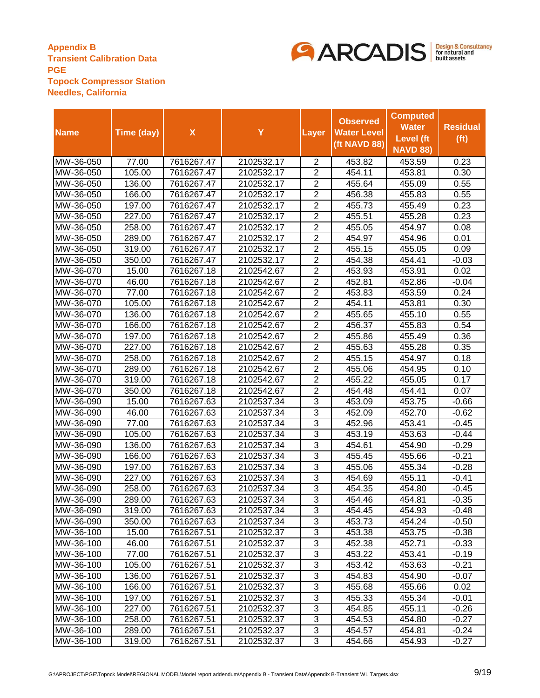

|             |            |                    |            |                | <b>Observed</b>    | <b>Computed</b>  |                   |
|-------------|------------|--------------------|------------|----------------|--------------------|------------------|-------------------|
| <b>Name</b> | Time (day) | $\pmb{\mathsf{X}}$ | Y          | Layer          | <b>Water Level</b> | <b>Water</b>     | <b>Residual</b>   |
|             |            |                    |            |                | (ft NAVD 88)       | <b>Level</b> (ft | (f <sup>t</sup> ) |
|             |            |                    |            |                |                    | <b>NAVD 88)</b>  |                   |
| MW-36-050   | 77.00      | 7616267.47         | 2102532.17 | 2              | 453.82             | 453.59           | 0.23              |
| MW-36-050   | 105.00     | 7616267.47         | 2102532.17 | 2              | 454.11             | 453.81           | 0.30              |
| MW-36-050   | 136.00     | 7616267.47         | 2102532.17 | $\overline{2}$ | 455.64             | 455.09           | 0.55              |
| MW-36-050   | 166.00     | 7616267.47         | 2102532.17 | $\overline{2}$ | 456.38             | 455.83           | 0.55              |
| MW-36-050   | 197.00     | 7616267.47         | 2102532.17 | $\overline{2}$ | 455.73             | 455.49           | 0.23              |
| MW-36-050   | 227.00     | 7616267.47         | 2102532.17 | $\overline{2}$ | 455.51             | 455.28           | 0.23              |
| MW-36-050   | 258.00     | 7616267.47         | 2102532.17 | $\overline{2}$ | 455.05             | 454.97           | 0.08              |
| MW-36-050   | 289.00     | 7616267.47         | 2102532.17 | $\overline{2}$ | 454.97             | 454.96           | 0.01              |
| MW-36-050   | 319.00     | 7616267.47         | 2102532.17 | $\overline{2}$ | 455.15             | 455.05           | 0.09              |
| MW-36-050   | 350.00     | 7616267.47         | 2102532.17 | $\overline{2}$ | 454.38             | 454.41           | $-0.03$           |
| MW-36-070   | 15.00      | 7616267.18         | 2102542.67 | $\overline{2}$ | 453.93             | 453.91           | 0.02              |
| MW-36-070   | 46.00      | 7616267.18         | 2102542.67 | $\overline{2}$ | 452.81             | 452.86           | -0.04             |
| MW-36-070   | 77.00      | 7616267.18         | 2102542.67 | $\overline{2}$ | 453.83             | 453.59           | 0.24              |
| MW-36-070   | 105.00     | 7616267.18         | 2102542.67 | $\overline{2}$ | 454.11             | 453.81           | 0.30              |
| MW-36-070   | 136.00     | 7616267.18         | 2102542.67 | $\overline{2}$ | 455.65             | 455.10           | 0.55              |
| MW-36-070   | 166.00     | 7616267.18         | 2102542.67 | $\overline{2}$ | 456.37             | 455.83           | 0.54              |
| MW-36-070   | 197.00     | 7616267.18         | 2102542.67 | $\overline{2}$ | 455.86             | 455.49           | 0.36              |
| MW-36-070   | 227.00     | 7616267.18         | 2102542.67 | $\overline{2}$ | 455.63             | 455.28           | 0.35              |
| MW-36-070   | 258.00     | 7616267.18         | 2102542.67 | $\overline{2}$ | 455.15             | 454.97           | 0.18              |
| MW-36-070   | 289.00     | 7616267.18         | 2102542.67 | $\overline{2}$ | 455.06             | 454.95           | 0.10              |
| MW-36-070   | 319.00     | 7616267.18         | 2102542.67 | $\overline{2}$ | 455.22             | 455.05           | 0.17              |
| MW-36-070   | 350.00     | 7616267.18         | 2102542.67 | $\overline{2}$ | 454.48             | 454.41           | 0.07              |
| MW-36-090   | 15.00      | 7616267.63         | 2102537.34 | 3              | 453.09             | 453.75           | -0.66             |
| MW-36-090   | 46.00      | 7616267.63         | 2102537.34 | 3              | 452.09             | 452.70           | $-0.62$           |
| MW-36-090   | 77.00      | 7616267.63         | 2102537.34 | 3              | 452.96             | 453.41           | -0.45             |
| MW-36-090   | 105.00     | 7616267.63         | 2102537.34 | 3              | 453.19             | 453.63           | -0.44             |
| MW-36-090   | 136.00     | 7616267.63         | 2102537.34 | 3              | 454.61             | 454.90           | $-0.29$           |
| MW-36-090   | 166.00     | 7616267.63         | 2102537.34 | 3              | 455.45             | 455.66           | $-0.21$           |
| MW-36-090   | 197.00     | 7616267.63         | 2102537.34 | 3              | 455.06             | 455.34           | $-0.28$           |
| MW-36-090   | 227.00     | 7616267.63         | 2102537.34 | $\overline{3}$ | 454.69             | 455.11           | -0.41             |
| MW-36-090   | 258.00     | 7616267.63         | 2102537.34 | $\overline{3}$ | 454.35             | 454.80           | -0.45             |
| MW-36-090   | 289.00     | 7616267.63         | 2102537.34 | $\overline{3}$ | 454.46             | 454.81           | $-0.35$           |
| MW-36-090   | 319.00     | 7616267.63         | 2102537.34 | 3              | 454.45             | 454.93           | $-0.48$           |
| MW-36-090   | 350.00     | 7616267.63         | 2102537.34 | 3              | 453.73             | 454.24           | $-0.50$           |
| MW-36-100   | 15.00      | 7616267.51         | 2102532.37 | 3              | 453.38             | 453.75           | $-0.38$           |
| MW-36-100   | 46.00      | 7616267.51         | 2102532.37 | 3              | 452.38             | 452.71           | $-0.33$           |
| MW-36-100   | 77.00      | 7616267.51         | 2102532.37 | 3              | 453.22             | 453.41           | $-0.19$           |
| MW-36-100   | 105.00     | 7616267.51         | 2102532.37 | 3              | 453.42             | 453.63           | $-0.21$           |
| MW-36-100   | 136.00     | 7616267.51         | 2102532.37 | 3              | 454.83             | 454.90           | -0.07             |
| MW-36-100   | 166.00     | 7616267.51         | 2102532.37 | 3              | 455.68             | 455.66           | 0.02              |
| MW-36-100   | 197.00     | 7616267.51         | 2102532.37 | 3              | 455.33             | 455.34           | $-0.01$           |
| MW-36-100   | 227.00     | 7616267.51         | 2102532.37 | 3              | 454.85             | 455.11           | $-0.26$           |
| MW-36-100   | 258.00     | 7616267.51         | 2102532.37 | 3              | 454.53             | 454.80           | $-0.27$           |
| MW-36-100   | 289.00     | 7616267.51         | 2102532.37 | 3              | 454.57             | 454.81           | $-0.24$           |
| MW-36-100   | 319.00     | 7616267.51         | 2102532.37 | 3              | 454.66             | 454.93           | $-0.27$           |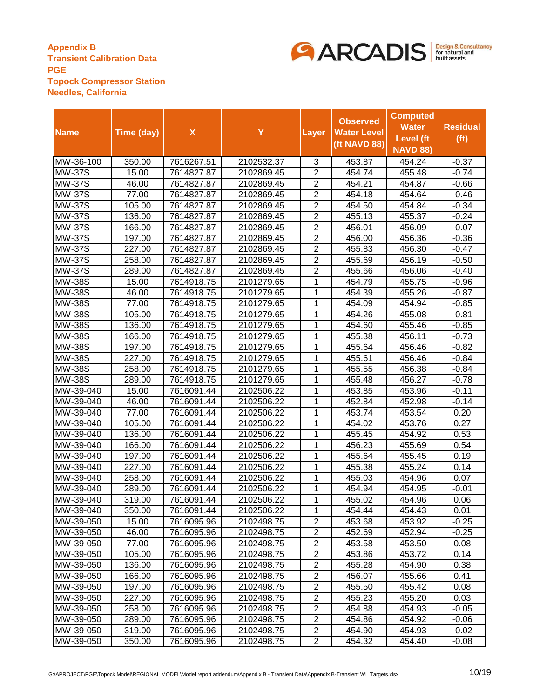

|                             |            |                    |            |                | <b>Observed</b>    | <b>Computed</b> |                   |
|-----------------------------|------------|--------------------|------------|----------------|--------------------|-----------------|-------------------|
| <b>Name</b>                 | Time (day) | $\pmb{\mathsf{X}}$ | Y          | Layer          | <b>Water Level</b> | <b>Water</b>    | <b>Residual</b>   |
|                             |            |                    |            |                | (ft NAVD 88)       | Level (ft       | (f <sup>t</sup> ) |
|                             |            |                    |            |                |                    | <b>NAVD 88)</b> |                   |
| MW-36-100                   | 350.00     | 7616267.51         | 2102532.37 | 3              | 453.87             | 454.24          | $-0.37$           |
| <b>MW-37S</b>               | 15.00      | 7614827.87         | 2102869.45 | $\overline{2}$ | 454.74             | 455.48          | $-0.74$           |
| $\overline{\text{MW}}$ -37S | 46.00      | 7614827.87         | 2102869.45 | $\overline{2}$ | 454.21             | 454.87          | $-0.66$           |
| <b>MW-37S</b>               | 77.00      | 7614827.87         | 2102869.45 | $\overline{2}$ | 454.18             | 454.64          | $-0.46$           |
| <b>MW-37S</b>               | 105.00     | 7614827.87         | 2102869.45 | $\overline{2}$ | 454.50             | 454.84          | $-0.34$           |
| <b>MW-37S</b>               | 136.00     | 7614827.87         | 2102869.45 | $\overline{2}$ | 455.13             | 455.37          | $-0.24$           |
| <b>MW-37S</b>               | 166.00     | 7614827.87         | 2102869.45 | $\overline{2}$ | 456.01             | 456.09          | $-0.07$           |
| <b>MW-37S</b>               | 197.00     | 7614827.87         | 2102869.45 | $\overline{2}$ | 456.00             | 456.36          | $-0.36$           |
| <b>MW-37S</b>               | 227.00     | 7614827.87         | 2102869.45 | $\overline{2}$ | 455.83             | 456.30          | $-0.47$           |
| <b>MW-37S</b>               | 258.00     | 7614827.87         | 2102869.45 | $\overline{2}$ | 455.69             | 456.19          | $-0.50$           |
| <b>MW-37S</b>               | 289.00     | 7614827.87         | 2102869.45 | $\overline{2}$ | 455.66             | 456.06          | $-0.40$           |
| <b>MW-38S</b>               | 15.00      | 7614918.75         | 2101279.65 | 1              | 454.79             | 455.75          | $-0.96$           |
| <b>MW-38S</b>               | 46.00      | 7614918.75         | 2101279.65 | 1              | 454.39             | 455.26          | $-0.87$           |
| <b>MW-38S</b>               | 77.00      | 7614918.75         | 2101279.65 | 1              | 454.09             | 454.94          | $-0.85$           |
| <b>MW-38S</b>               | 105.00     | 7614918.75         | 2101279.65 | 1              | 454.26             | 455.08          | $-0.81$           |
| <b>MW-38S</b>               | 136.00     | 7614918.75         | 2101279.65 | 1              | 454.60             | 455.46          | $-0.85$           |
| <b>MW-38S</b>               | 166.00     | 7614918.75         | 2101279.65 | 1              | 455.38             | 456.11          | $-0.73$           |
| <b>MW-38S</b>               | 197.00     | 7614918.75         | 2101279.65 | 1              | 455.64             | 456.46          | $-0.82$           |
| <b>MW-38S</b>               | 227.00     | 7614918.75         | 2101279.65 | 1              | 455.61             | 456.46          | $-0.84$           |
| <b>MW-38S</b>               | 258.00     | 7614918.75         | 2101279.65 | 1              | 455.55             | 456.38          | $-0.84$           |
| <b>MW-38S</b>               | 289.00     | 7614918.75         | 2101279.65 | 1              | 455.48             | 456.27          | $-0.78$           |
| MW-39-040                   | 15.00      | 7616091.44         | 2102506.22 | 1              | 453.85             | 453.96          | $-0.11$           |
| MW-39-040                   | 46.00      | 7616091.44         | 2102506.22 | 1              | 452.84             | 452.98          | $-0.14$           |
| MW-39-040                   | 77.00      | 7616091.44         | 2102506.22 | 1              | 453.74             | 453.54          | 0.20              |
| MW-39-040                   | 105.00     | 7616091.44         | 2102506.22 | 1              | 454.02             | 453.76          | 0.27              |
| MW-39-040                   | 136.00     | 7616091.44         | 2102506.22 | 1              | 455.45             | 454.92          | 0.53              |
| MW-39-040                   | 166.00     | 7616091.44         | 2102506.22 | 1              | 456.23             | 455.69          | 0.54              |
| MW-39-040                   | 197.00     | 7616091.44         | 2102506.22 | 1              | 455.64             | 455.45          | 0.19              |
| MW-39-040                   | 227.00     | 7616091.44         | 2102506.22 | 1              | 455.38             | 455.24          | 0.14              |
| MW-39-040                   | 258.00     | 7616091.44         | 2102506.22 | 1              | 455.03             | 454.96          | 0.07              |
| MW-39-040                   | 289.00     | 7616091.44         | 2102506.22 | 1              | 454.94             | 454.95          | $-0.01$           |
| MW-39-040                   | 319.00     | 7616091.44         | 2102506.22 | 1              | 455.02             | 454.96          | 0.06              |
| MW-39-040                   | 350.00     | 7616091.44         | 2102506.22 | 1              | 454.44             | 454.43          | 0.01              |
| MW-39-050                   | 15.00      | 7616095.96         | 2102498.75 | $\overline{c}$ | 453.68             | 453.92          | $-0.25$           |
| MW-39-050                   | 46.00      | 7616095.96         | 2102498.75 | $\overline{2}$ | 452.69             | 452.94          | $-0.25$           |
| MW-39-050                   | 77.00      | 7616095.96         | 2102498.75 | $\overline{2}$ | 453.58             | 453.50          | 0.08              |
| MW-39-050                   | 105.00     | 7616095.96         | 2102498.75 | $\overline{2}$ | 453.86             | 453.72          | 0.14              |
| MW-39-050                   | 136.00     | 7616095.96         | 2102498.75 | $\overline{2}$ | 455.28             | 454.90          | 0.38              |
| MW-39-050                   | 166.00     | 7616095.96         | 2102498.75 | $\overline{2}$ | 456.07             | 455.66          | 0.41              |
| MW-39-050                   | 197.00     | 7616095.96         | 2102498.75 | $\overline{2}$ | 455.50             | 455.42          | 0.08              |
| MW-39-050                   | 227.00     | 7616095.96         | 2102498.75 | $\overline{2}$ | 455.23             | 455.20          | 0.03              |
| MW-39-050                   | 258.00     | 7616095.96         | 2102498.75 | $\overline{2}$ | 454.88             | 454.93          | $-0.05$           |
| MW-39-050                   | 289.00     | 7616095.96         | 2102498.75 | $\overline{c}$ | 454.86             | 454.92          | $-0.06$           |
| MW-39-050                   | 319.00     | 7616095.96         | 2102498.75 | $\overline{c}$ | 454.90             | 454.93          | $-0.02$           |
| MW-39-050                   | 350.00     | 7616095.96         | 2102498.75 | $\overline{2}$ | 454.32             | 454.40          | $-0.08$           |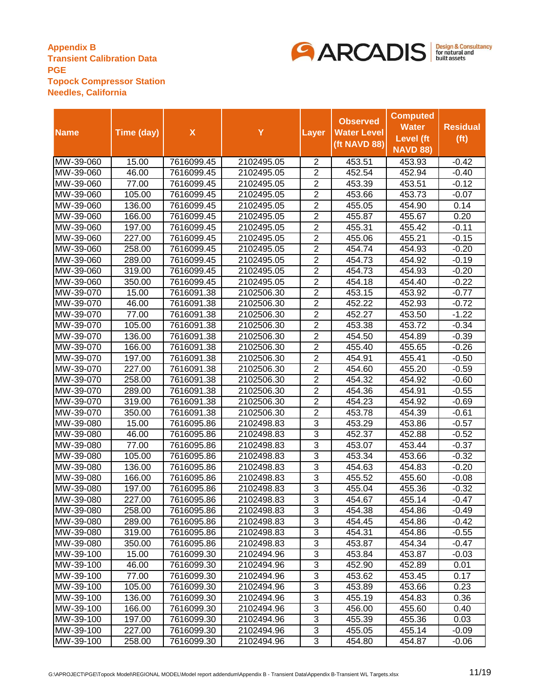

|                        |                  |                          |                          |                                  | <b>Observed</b>    | <b>Computed</b>  |                    |
|------------------------|------------------|--------------------------|--------------------------|----------------------------------|--------------------|------------------|--------------------|
| <b>Name</b>            | Time (day)       | $\pmb{\mathsf{X}}$       | Y                        | <b>Layer</b>                     | <b>Water Level</b> | <b>Water</b>     | <b>Residual</b>    |
|                        |                  |                          |                          |                                  |                    | <b>Level</b> (ft | (f <sup>t</sup> )  |
|                        |                  |                          |                          |                                  | (ft NAVD 88)       | <b>NAVD 88)</b>  |                    |
| MW-39-060              | 15.00            | 7616099.45               | 2102495.05               | $\overline{2}$                   | 453.51             | 453.93           | $-0.42$            |
| MW-39-060              | 46.00            | 7616099.45               | 2102495.05               | $\overline{2}$                   | 452.54             | 452.94           | $-0.40$            |
| MW-39-060              | 77.00            | 7616099.45               | 2102495.05               | $\overline{2}$                   | 453.39             | 453.51           | $-0.12$            |
| MW-39-060              | 105.00           | 7616099.45               | 2102495.05               | $\overline{2}$                   | 453.66             | 453.73           | $-0.07$            |
| MW-39-060              | 136.00           | 7616099.45               | 2102495.05               | $\overline{2}$                   | 455.05             | 454.90           | 0.14               |
| MW-39-060              | 166.00           | 7616099.45               | 2102495.05               | $\overline{2}$                   | 455.87             | 455.67           | 0.20               |
| MW-39-060              | 197.00           | 7616099.45               | 2102495.05               | $\overline{2}$                   | 455.31             | 455.42           | $-0.11$            |
| MW-39-060              | 227.00           | 7616099.45               | 2102495.05               | $\overline{2}$                   | 455.06             | 455.21           | $-0.15$            |
| MW-39-060              | 258.00           | 7616099.45               | 2102495.05               | $\overline{2}$                   | 454.74             | 454.93           | $-0.20$            |
| MW-39-060              | 289.00           | 7616099.45               | 2102495.05               | $\overline{2}$                   | 454.73             | 454.92           | $-0.19$            |
| MW-39-060              | 319.00           | 7616099.45               | 2102495.05               | $\overline{2}$                   | 454.73             | 454.93           | $-0.20$            |
| MW-39-060              | 350.00           | 7616099.45               | 2102495.05               | $\overline{2}$                   | 454.18             | 454.40           | $-0.22$            |
| MW-39-070              | 15.00            | 7616091.38               | 2102506.30               | $\overline{2}$                   | 453.15             | 453.92           | $-0.77$            |
| MW-39-070              | 46.00            | 7616091.38               | 2102506.30               | $\overline{2}$                   | 452.22             | 452.93           | $-0.72$            |
| MW-39-070              | 77.00            | 7616091.38               | 2102506.30               | $\overline{2}$                   | 452.27             | 453.50           | $-1.22$            |
| MW-39-070              | 105.00           | 7616091.38               | 2102506.30               | $\overline{2}$                   | 453.38             | 453.72           | $-0.34$            |
| MW-39-070              | 136.00           | 7616091.38               | 2102506.30               | 2                                | 454.50             | 454.89           | $-0.39$            |
| MW-39-070              | 166.00           | 7616091.38               | 2102506.30               | $\overline{2}$                   | 455.40             | 455.65           | $-0.26$            |
| MW-39-070              | 197.00           | 7616091.38               | 2102506.30               | $\overline{2}$                   | 454.91             | 455.41           | $-0.50$            |
| MW-39-070              | 227.00           | 7616091.38               | 2102506.30               | $\overline{2}$                   | 454.60             | 455.20           | $-0.59$            |
| MW-39-070              | 258.00           | 7616091.38               | 2102506.30               | $\overline{2}$                   | 454.32             | 454.92           | $-0.60$            |
| MW-39-070              | 289.00           | 7616091.38               | 2102506.30               | $\overline{2}$                   | 454.36             | 454.91           | $-0.55$            |
| MW-39-070              | 319.00           | 7616091.38               | 2102506.30               | $\overline{2}$                   | 454.23             | 454.92           | $-0.69$            |
| MW-39-070              | 350.00           | 7616091.38               | 2102506.30               | $\overline{2}$                   | 453.78             | 454.39           | $-0.61$            |
| MW-39-080              | 15.00            | 7616095.86               | 2102498.83               | 3                                | 453.29             | 453.86           | $-0.57$            |
| MW-39-080              | 46.00            | 7616095.86               | 2102498.83               | $\overline{3}$                   | 452.37             | 452.88           | $-0.52$            |
| MW-39-080              | 77.00            | 7616095.86               | 2102498.83               | $\overline{3}$                   | 453.07             | 453.44           | $-0.37$            |
| MW-39-080              | 105.00           | 7616095.86               | 2102498.83               | $\overline{3}$                   | 453.34             | 453.66           | $-0.32$            |
| MW-39-080              | 136.00           | 7616095.86               | 2102498.83               | 3                                | 454.63             | 454.83           | $-0.20$            |
| MW-39-080              | 166.00           | 7616095.86               | 2102498.83               | $\overline{3}$<br>$\overline{3}$ | 455.52             | 455.60           | $-0.08$            |
| MW-39-080              | 197.00           | 7616095.86               | 2102498.83               | $\overline{3}$                   | 455.04             | 455.36           | $-0.32$            |
| MW-39-080              | 227.00           | 7616095.86               | 2102498.83<br>2102498.83 |                                  | 454.67             | 455.14           | $-0.47$            |
| MW-39-080<br>MW-39-080 | 258.00<br>289.00 | 7616095.86<br>7616095.86 | 2102498.83               | 3<br>3                           | 454.38<br>454.45   | 454.86<br>454.86 | $-0.49$            |
| MW-39-080              | 319.00           | 7616095.86               | 2102498.83               | 3                                |                    |                  | $-0.42$            |
| MW-39-080              | 350.00           | 7616095.86               | 2102498.83               | 3                                | 454.31<br>453.87   | 454.86<br>454.34 | $-0.55$<br>$-0.47$ |
| MW-39-100              | 15.00            | 7616099.30               | 2102494.96               | 3                                | 453.84             | 453.87           | $-0.03$            |
| MW-39-100              | 46.00            | 7616099.30               | 2102494.96               | 3                                | 452.90             | 452.89           | 0.01               |
| MW-39-100              | 77.00            | 7616099.30               | 2102494.96               | 3                                | 453.62             | 453.45           | 0.17               |
| MW-39-100              | 105.00           | 7616099.30               | 2102494.96               | 3                                | 453.89             | 453.66           | 0.23               |
| MW-39-100              | 136.00           | 7616099.30               | 2102494.96               | 3                                | 455.19             | 454.83           | 0.36               |
| MW-39-100              | 166.00           | 7616099.30               | 2102494.96               | 3                                | 456.00             | 455.60           | 0.40               |
| MW-39-100              | 197.00           | 7616099.30               | 2102494.96               | 3                                | 455.39             | 455.36           | 0.03               |
| MW-39-100              | 227.00           | 7616099.30               | 2102494.96               | 3                                | 455.05             | 455.14           | $-0.09$            |
| MW-39-100              | 258.00           | 7616099.30               | 2102494.96               | 3                                | 454.80             | 454.87           | $-0.06$            |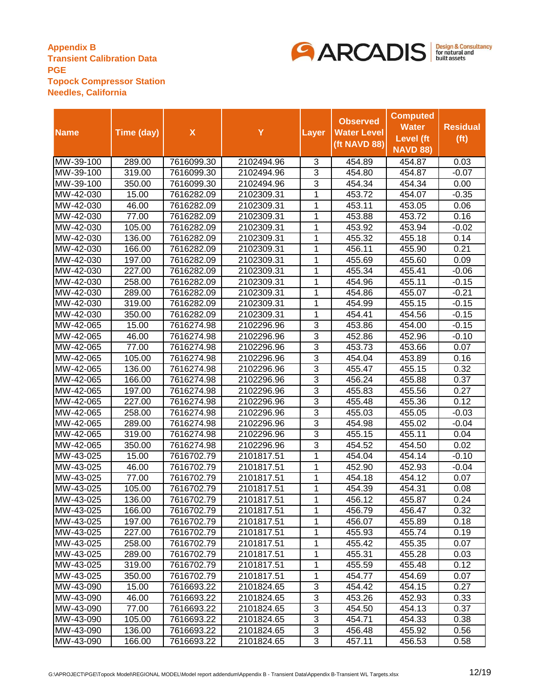

|                               |            |                    |            |                | <b>Observed</b>    | <b>Computed</b>  |                   |
|-------------------------------|------------|--------------------|------------|----------------|--------------------|------------------|-------------------|
| <b>Name</b>                   | Time (day) | $\pmb{\mathsf{X}}$ | Y          | Layer          | <b>Water Level</b> | <b>Water</b>     | <b>Residual</b>   |
|                               |            |                    |            |                | (ft NAVD 88)       | <b>Level</b> (ft | (f <sup>t</sup> ) |
|                               |            |                    |            |                |                    | <b>NAVD 88)</b>  |                   |
| MW-39-100                     | 289.00     | 7616099.30         | 2102494.96 | 3              | 454.89             | 454.87           | 0.03              |
| MW-39-100                     | 319.00     | 7616099.30         | 2102494.96 | 3              | 454.80             | 454.87           | $-0.07$           |
| MW-39-100                     | 350.00     | 7616099.30         | 2102494.96 | 3              | 454.34             | 454.34           | 0.00              |
| MW-42-030                     | 15.00      | 7616282.09         | 2102309.31 | 1              | 453.72             | 454.07           | $-0.35$           |
| MW-42-030                     | 46.00      | 7616282.09         | 2102309.31 | 1              | 453.11             | 453.05           | 0.06              |
| MW-42-030                     | 77.00      | 7616282.09         | 2102309.31 | 1              | 453.88             | 453.72           | 0.16              |
| MW-42-030                     | 105.00     | 7616282.09         | 2102309.31 | 1              | 453.92             | 453.94           | $-0.02$           |
| MW-42-030                     | 136.00     | 7616282.09         | 2102309.31 | 1              | 455.32             | 455.18           | 0.14              |
| MW-42-030                     | 166.00     | 7616282.09         | 2102309.31 | 1              | 456.11             | 455.90           | 0.21              |
| MW-42-030                     | 197.00     | 7616282.09         | 2102309.31 | 1              | 455.69             | 455.60           | 0.09              |
| MW-42-030                     | 227.00     | 7616282.09         | 2102309.31 | 1              | 455.34             | 455.41           | $-0.06$           |
| MW-42-030                     | 258.00     | 7616282.09         | 2102309.31 | 1              | 454.96             | 455.11           | $-0.15$           |
| MW-42-030                     | 289.00     | 7616282.09         | 2102309.31 | 1              | 454.86             | 455.07           | $-0.21$           |
| MW-42-030                     | 319.00     | 7616282.09         | 2102309.31 | 1              | 454.99             | 455.15           | -0.15             |
| MW-42-030                     | 350.00     | 7616282.09         | 2102309.31 | 1              | 454.41             | 454.56           | $-0.15$           |
| MW-42-065                     | 15.00      | 7616274.98         | 2102296.96 | 3              | 453.86             | 454.00           | $-0.15$           |
| MW-42-065                     | 46.00      | 7616274.98         | 2102296.96 | 3              | 452.86             | 452.96           | $-0.10$           |
| MW-42-065                     | 77.00      | 7616274.98         | 2102296.96 | 3              | 453.73             | 453.66           | 0.07              |
| MW-42-065                     | 105.00     | 7616274.98         | 2102296.96 | 3              | 454.04             | 453.89           | 0.16              |
| MW-42-065                     | 136.00     | 7616274.98         | 2102296.96 | 3              | 455.47             | 455.15           | 0.32              |
| MW-42-065                     | 166.00     | 7616274.98         | 2102296.96 | 3              | 456.24             | 455.88           | 0.37              |
| MW-42-065                     | 197.00     | 7616274.98         | 2102296.96 | 3              | 455.83             | 455.56           | 0.27              |
| MW-42-065                     | 227.00     | 7616274.98         | 2102296.96 | $\overline{3}$ | 455.48             | 455.36           | 0.12              |
| $\overline{\text{MW-42-065}}$ | 258.00     | 7616274.98         | 2102296.96 | 3              | 455.03             | 455.05           | $-0.03$           |
| MW-42-065                     | 289.00     | 7616274.98         | 2102296.96 | 3              | 454.98             | 455.02           | -0.04             |
| MW-42-065                     | 319.00     | 7616274.98         | 2102296.96 | 3              | 455.15             | 455.11           | 0.04              |
| MW-42-065                     | 350.00     | 7616274.98         | 2102296.96 | 3              | 454.52             | 454.50           | 0.02              |
| MW-43-025                     | 15.00      | 7616702.79         | 2101817.51 | 1              | 454.04             | 454.14           | $-0.10$           |
| MW-43-025                     | 46.00      | 7616702.79         | 2101817.51 | 1              | 452.90             | 452.93           | $-0.04$           |
| MW-43-025                     | 77.00      | 7616702.79         | 2101817.51 | 1              | 454.18             | 454.12           | 0.07              |
| MW-43-025                     | 105.00     | 7616702.79         | 2101817.51 | 1              | 454.39             | 454.31           | 0.08              |
| MW-43-025                     | 136.00     | 7616702.79         | 2101817.51 | 1              | 456.12             | 455.87           | 0.24              |
| MW-43-025                     | 166.00     | 7616702.79         | 2101817.51 | 1              | 456.79             | 456.47           | 0.32              |
| MW-43-025                     | 197.00     | 7616702.79         | 2101817.51 | 1              | 456.07             | 455.89           | 0.18              |
| MW-43-025                     | 227.00     | 7616702.79         | 2101817.51 | 1              | 455.93             | 455.74           | 0.19              |
| MW-43-025                     | 258.00     | 7616702.79         | 2101817.51 | 1              | 455.42             | 455.35           | 0.07              |
| MW-43-025                     | 289.00     | 7616702.79         | 2101817.51 | 1              | 455.31             | 455.28           | 0.03              |
| MW-43-025                     | 319.00     | 7616702.79         | 2101817.51 | 1              | 455.59             | 455.48           | 0.12              |
| MW-43-025                     | 350.00     | 7616702.79         | 2101817.51 | 1              | 454.77             | 454.69           | 0.07              |
| MW-43-090                     | 15.00      | 7616693.22         | 2101824.65 | 3              | 454.42             | 454.15           | 0.27              |
| MW-43-090                     | 46.00      | 7616693.22         | 2101824.65 | 3              | 453.26             | 452.93           | 0.33              |
| MW-43-090                     | 77.00      | 7616693.22         | 2101824.65 | 3              | 454.50             | 454.13           | 0.37              |
| MW-43-090                     | 105.00     | 7616693.22         | 2101824.65 | 3              | 454.71             | 454.33           | 0.38              |
| MW-43-090                     | 136.00     | 7616693.22         | 2101824.65 | 3              | 456.48             | 455.92           | 0.56              |
| MW-43-090                     | 166.00     | 7616693.22         | 2101824.65 | 3              | 457.11             | 456.53           | 0.58              |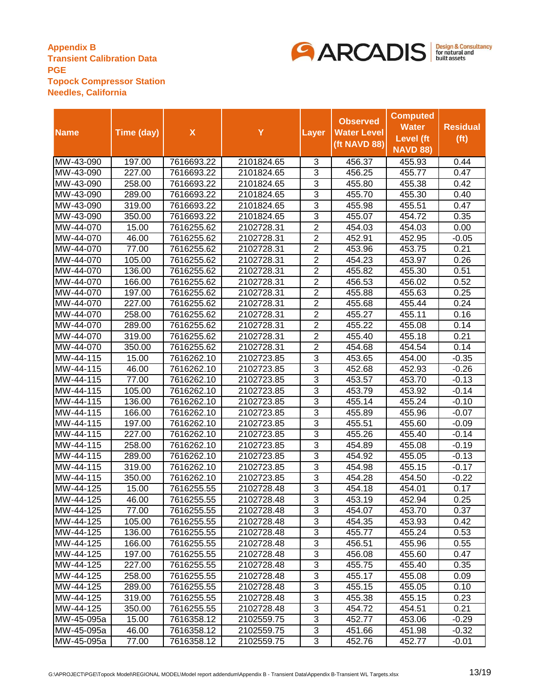

|                                |            |                    |            |                | <b>Observed</b>    | <b>Computed</b>  |                   |
|--------------------------------|------------|--------------------|------------|----------------|--------------------|------------------|-------------------|
| <b>Name</b>                    | Time (day) | $\pmb{\mathsf{X}}$ | Y          | Layer          | <b>Water Level</b> | <b>Water</b>     | <b>Residual</b>   |
|                                |            |                    |            |                | (ft NAVD 88)       | <b>Level</b> (ft | (f <sup>t</sup> ) |
|                                |            |                    |            |                |                    | <b>NAVD 88)</b>  |                   |
| MW-43-090                      | 197.00     | 7616693.22         | 2101824.65 | 3              | 456.37             | 455.93           | 0.44              |
| MW-43-090                      | 227.00     | 7616693.22         | 2101824.65 | 3              | 456.25             | 455.77           | 0.47              |
| MW-43-090                      | 258.00     | 7616693.22         | 2101824.65 | 3              | 455.80             | 455.38           | 0.42              |
| MW-43-090                      | 289.00     | 7616693.22         | 2101824.65 | 3              | 455.70             | 455.30           | 0.40              |
| MW-43-090                      | 319.00     | 7616693.22         | 2101824.65 | 3              | 455.98             | 455.51           | 0.47              |
| MW-43-090                      | 350.00     | 7616693.22         | 2101824.65 | $\overline{3}$ | 455.07             | 454.72           | 0.35              |
| MW-44-070                      | 15.00      | 7616255.62         | 2102728.31 | $\overline{2}$ | 454.03             | 454.03           | 0.00              |
| MW-44-070                      | 46.00      | 7616255.62         | 2102728.31 | $\overline{2}$ | 452.91             | 452.95           | -0.05             |
| MW-44-070                      | 77.00      | 7616255.62         | 2102728.31 | $\overline{2}$ | 453.96             | 453.75           | 0.21              |
| MW-44-070                      | 105.00     | 7616255.62         | 2102728.31 | $\overline{2}$ | 454.23             | 453.97           | 0.26              |
| MW-44-070                      | 136.00     | 7616255.62         | 2102728.31 | $\overline{2}$ | 455.82             | 455.30           | 0.51              |
| MW-44-070                      | 166.00     | 7616255.62         | 2102728.31 | $\overline{2}$ | 456.53             | 456.02           | 0.52              |
| MW-44-070                      | 197.00     | 7616255.62         | 2102728.31 | $\overline{2}$ | 455.88             | 455.63           | 0.25              |
| MW-44-070                      | 227.00     | 7616255.62         | 2102728.31 | $\overline{2}$ | 455.68             | 455.44           | 0.24              |
| MW-44-070                      | 258.00     | 7616255.62         | 2102728.31 | $\overline{2}$ | 455.27             | 455.11           | 0.16              |
| MW-44-070                      | 289.00     | 7616255.62         | 2102728.31 | $\overline{2}$ | 455.22             | 455.08           | 0.14              |
| MW-44-070                      | 319.00     | 7616255.62         | 2102728.31 | $\overline{2}$ | 455.40             | 455.18           | 0.21              |
| MW-44-070                      | 350.00     | 7616255.62         | 2102728.31 | $\overline{2}$ | 454.68             | 454.54           | 0.14              |
| MW-44-115                      | 15.00      | 7616262.10         | 2102723.85 | 3              | 453.65             | 454.00           | $-0.35$           |
| MW-44-115                      | 46.00      | 7616262.10         | 2102723.85 | 3              | 452.68             | 452.93           | $-0.26$           |
| MW-44-115                      | 77.00      | 7616262.10         | 2102723.85 | 3              | 453.57             | 453.70           | $-0.13$           |
| MW-44-115                      | 105.00     | 7616262.10         | 2102723.85 | $\overline{3}$ | 453.79             | 453.92           | -0.14             |
| MW-44-115                      | 136.00     | 7616262.10         | 2102723.85 | 3              | 455.14             | 455.24           | $-0.10$           |
| MW-44-115                      | 166.00     | 7616262.10         | 2102723.85 | 3              | 455.89             | 455.96           | $-0.07$           |
| MW-44-115                      | 197.00     | 7616262.10         | 2102723.85 | 3              | 455.51             | 455.60           | $-0.09$           |
| MW-44-115                      | 227.00     | 7616262.10         | 2102723.85 | $\overline{3}$ | 455.26             | 455.40           | $-0.14$           |
| $\overline{\text{MW-4}}$ 4-115 | 258.00     | 7616262.10         | 2102723.85 | 3              | 454.89             | 455.08           | $-0.19$           |
| MW-44-115                      | 289.00     | 7616262.10         | 2102723.85 | $\overline{3}$ | 454.92             | 455.05           | $-0.13$           |
| MW-44-115                      | 319.00     | 7616262.10         | 2102723.85 | $\overline{3}$ | 454.98             | 455.15           | $-0.17$           |
| MW-44-115                      | 350.00     | 7616262.10         | 2102723.85 | $\overline{3}$ | 454.28             | 454.50           | $-0.22$           |
| MW-44-125                      | 15.00      | 7616255.55         | 2102728.48 | $\overline{3}$ | 454.18             | 454.01           | 0.17              |
| MW-44-125                      | 46.00      | 7616255.55         | 2102728.48 | $\overline{3}$ | 453.19             | 452.94           | 0.25              |
| MW-44-125                      | 77.00      | 7616255.55         | 2102728.48 | 3              | 454.07             | 453.70           | 0.37              |
| MW-44-125                      | 105.00     | 7616255.55         | 2102728.48 | 3              | 454.35             | 453.93           | 0.42              |
| MW-44-125                      | 136.00     | 7616255.55         | 2102728.48 | 3              | 455.77             | 455.24           | 0.53              |
| MW-44-125                      | 166.00     | 7616255.55         | 2102728.48 | 3              | 456.51             | 455.96           | 0.55              |
| MW-44-125                      | 197.00     | 7616255.55         | 2102728.48 | 3              | 456.08             | 455.60           | 0.47              |
| MW-44-125                      | 227.00     | 7616255.55         | 2102728.48 | 3              | 455.75             | 455.40           | 0.35              |
| MW-44-125                      | 258.00     | 7616255.55         | 2102728.48 | 3              | 455.17             | 455.08           | 0.09              |
| MW-44-125                      | 289.00     | 7616255.55         | 2102728.48 | 3              | 455.15             | 455.05           | 0.10              |
| MW-44-125                      | 319.00     | 7616255.55         | 2102728.48 | 3              | 455.38             | 455.15           | 0.23              |
| MW-44-125                      | 350.00     | 7616255.55         | 2102728.48 | 3              | 454.72             | 454.51           | 0.21              |
| MW-45-095a                     | 15.00      | 7616358.12         | 2102559.75 | 3              | 452.77             | 453.06           | $-0.29$           |
| MW-45-095a                     | 46.00      | 7616358.12         | 2102559.75 | 3              | 451.66             | 451.98           | $-0.32$           |
| MW-45-095a                     | 77.00      | 7616358.12         | 2102559.75 | 3              | 452.76             | 452.77           | $-0.01$           |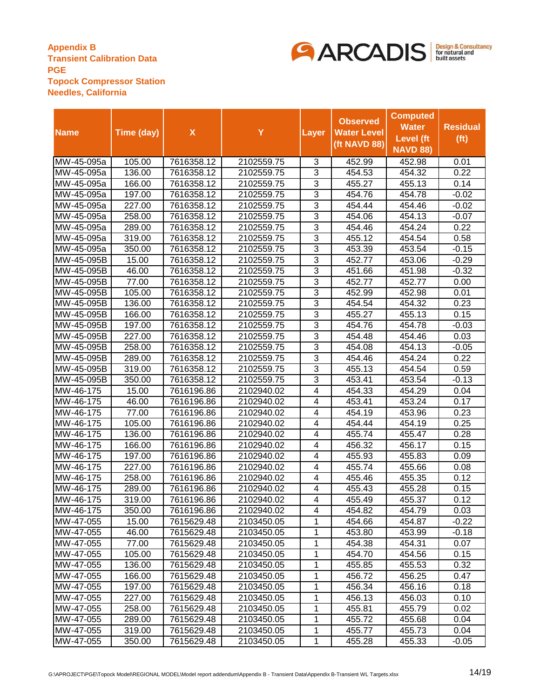

|             |            |                    |            |                | <b>Observed</b>    | <b>Computed</b>  |                   |
|-------------|------------|--------------------|------------|----------------|--------------------|------------------|-------------------|
| <b>Name</b> | Time (day) | $\pmb{\mathsf{X}}$ | Y          | Layer          | <b>Water Level</b> | <b>Water</b>     | <b>Residual</b>   |
|             |            |                    |            |                | (ft NAVD 88)       | <b>Level</b> (ft | (f <sup>t</sup> ) |
|             |            |                    |            |                |                    | <b>NAVD 88)</b>  |                   |
| MW-45-095a  | 105.00     | 7616358.12         | 2102559.75 | 3              | 452.99             | 452.98           | 0.01              |
| MW-45-095a  | 136.00     | 7616358.12         | 2102559.75 | 3              | 454.53             | 454.32           | 0.22              |
| MW-45-095a  | 166.00     | 7616358.12         | 2102559.75 | 3              | 455.27             | 455.13           | 0.14              |
| MW-45-095a  | 197.00     | 7616358.12         | 2102559.75 | 3              | 454.76             | 454.78           | $-0.02$           |
| MW-45-095a  | 227.00     | 7616358.12         | 2102559.75 | 3              | 454.44             | 454.46           | $-0.02$           |
| MW-45-095a  | 258.00     | 7616358.12         | 2102559.75 | 3              | 454.06             | 454.13           | $-0.07$           |
| MW-45-095a  | 289.00     | 7616358.12         | 2102559.75 | 3              | 454.46             | 454.24           | 0.22              |
| MW-45-095a  | 319.00     | 7616358.12         | 2102559.75 | 3              | 455.12             | 454.54           | 0.58              |
| MW-45-095a  | 350.00     | 7616358.12         | 2102559.75 | 3              | 453.39             | 453.54           | -0.15             |
| MW-45-095B  | 15.00      | 7616358.12         | 2102559.75 | 3              | 452.77             | 453.06           | $-0.29$           |
| MW-45-095B  | 46.00      | 7616358.12         | 2102559.75 | $\overline{3}$ | 451.66             | 451.98           | $-0.32$           |
| MW-45-095B  | 77.00      | 7616358.12         | 2102559.75 | $\overline{3}$ | 452.77             | 452.77           | 0.00              |
| MW-45-095B  | 105.00     | 7616358.12         | 2102559.75 | $\overline{3}$ | 452.99             | 452.98           | 0.01              |
| MW-45-095B  | 136.00     | 7616358.12         | 2102559.75 | $\overline{3}$ | 454.54             | 454.32           | 0.23              |
| MW-45-095B  | 166.00     | 7616358.12         | 2102559.75 | $\overline{3}$ | 455.27             | 455.13           | 0.15              |
| MW-45-095B  | 197.00     | 7616358.12         | 2102559.75 | $\overline{3}$ | 454.76             | 454.78           | $-0.03$           |
| MW-45-095B  | 227.00     | 7616358.12         | 2102559.75 | 3              | 454.48             | 454.46           | 0.03              |
| MW-45-095B  | 258.00     | 7616358.12         | 2102559.75 | 3              | 454.08             | 454.13           | $-0.05$           |
| MW-45-095B  | 289.00     | 7616358.12         | 2102559.75 | 3              | 454.46             | 454.24           | 0.22              |
| MW-45-095B  | 319.00     | 7616358.12         | 2102559.75 | 3              | 455.13             | 454.54           | 0.59              |
| MW-45-095B  | 350.00     | 7616358.12         | 2102559.75 | 3              | 453.41             | 453.54           | $-0.13$           |
| MW-46-175   | 15.00      | 7616196.86         | 2102940.02 | 4              | 454.33             | 454.29           | 0.04              |
| MW-46-175   | 46.00      | 7616196.86         | 2102940.02 | 4              | 453.41             | 453.24           | 0.17              |
| MW-46-175   | 77.00      | 7616196.86         | 2102940.02 | 4              | 454.19             | 453.96           | 0.23              |
| MW-46-175   | 105.00     | 7616196.86         | 2102940.02 | 4              | 454.44             | 454.19           | 0.25              |
| MW-46-175   | 136.00     | 7616196.86         | 2102940.02 | 4              | 455.74             | 455.47           | 0.28              |
| MW-46-175   | 166.00     | 7616196.86         | 2102940.02 | 4              | 456.32             | 456.17           | 0.15              |
| MW-46-175   | 197.00     | 7616196.86         | 2102940.02 | 4              | 455.93             | 455.83           | 0.09              |
| MW-46-175   | 227.00     | 7616196.86         | 2102940.02 | 4              | 455.74             | 455.66           | 0.08              |
| MW-46-175   | 258.00     | 7616196.86         | 2102940.02 | 4              | 455.46             | 455.35           | 0.12              |
| MW-46-175   | 289.00     | 7616196.86         | 2102940.02 | 4              | 455.43             | 455.28           | 0.15              |
| MW-46-175   | 319.00     | 7616196.86         | 2102940.02 | 4              | 455.49             | 455.37           | 0.12              |
| MW-46-175   | 350.00     | 7616196.86         | 2102940.02 | 4              | 454.82             | 454.79           | 0.03              |
| MW-47-055   | 15.00      | 7615629.48         | 2103450.05 | 1              | 454.66             | 454.87           | $-0.22$           |
| MW-47-055   | 46.00      | 7615629.48         | 2103450.05 | 1              | 453.80             | 453.99           | $-0.18$           |
| MW-47-055   | 77.00      | 7615629.48         | 2103450.05 | 1              | 454.38             | 454.31           | 0.07              |
| MW-47-055   | 105.00     | 7615629.48         | 2103450.05 | 1              | 454.70             | 454.56           | 0.15              |
| MW-47-055   | 136.00     | 7615629.48         | 2103450.05 | 1              | 455.85             | 455.53           | 0.32              |
| MW-47-055   | 166.00     | 7615629.48         | 2103450.05 | 1              | 456.72             | 456.25           | 0.47              |
| MW-47-055   | 197.00     | 7615629.48         | 2103450.05 | 1              | 456.34             | 456.16           | 0.18              |
| MW-47-055   | 227.00     | 7615629.48         | 2103450.05 | 1              | 456.13             | 456.03           | 0.10              |
| MW-47-055   | 258.00     | 7615629.48         | 2103450.05 | 1              | 455.81             | 455.79           | 0.02              |
| MW-47-055   | 289.00     | 7615629.48         | 2103450.05 | 1              | 455.72             | 455.68           | 0.04              |
| MW-47-055   | 319.00     | 7615629.48         | 2103450.05 | 1              | 455.77             | 455.73           | 0.04              |
| MW-47-055   | 350.00     | 7615629.48         | 2103450.05 | 1              | 455.28             | 455.33           | $-0.05$           |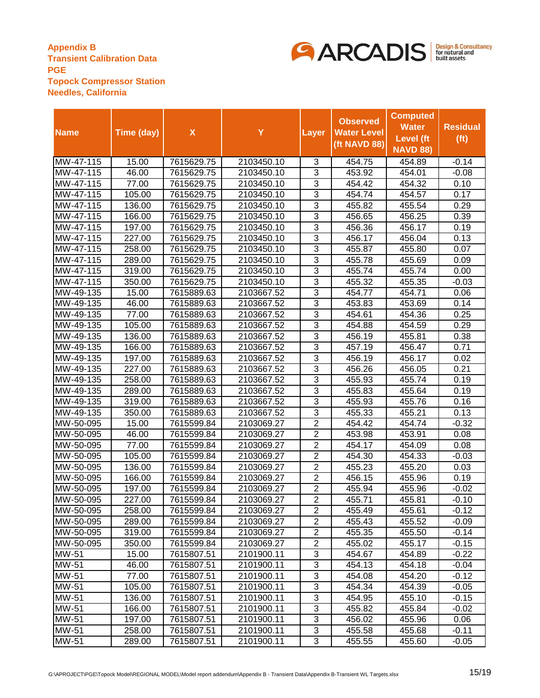

|                        |                  |                          |                          |                                  | <b>Observed</b>    | <b>Computed</b><br><b>Water</b> | <b>Residual</b>    |
|------------------------|------------------|--------------------------|--------------------------|----------------------------------|--------------------|---------------------------------|--------------------|
| <b>Name</b>            | Time (day)       | $\pmb{\mathsf{X}}$       | Y                        | <b>Layer</b>                     | <b>Water Level</b> | <b>Level</b> (ft                | (f <sup>t</sup> )  |
|                        |                  |                          |                          |                                  | (ft NAVD 88)       | <b>NAVD 88)</b>                 |                    |
| MW-47-115              | 15.00            | 7615629.75               | 2103450.10               | 3                                | 454.75             | 454.89                          | $-0.14$            |
| MW-47-115              | 46.00            | 7615629.75               | 2103450.10               | 3                                | 453.92             | 454.01                          | $-0.08$            |
| MW-47-115              | 77.00            | 7615629.75               | 2103450.10               | 3                                | 454.42             | 454.32                          | 0.10               |
| MW-47-115              | 105.00           | 7615629.75               | 2103450.10               | 3                                | 454.74             | 454.57                          | 0.17               |
| MW-47-115              | 136.00           | 7615629.75               | 2103450.10               | 3                                | 455.82             | 455.54                          | 0.29               |
| MW-47-115              | 166.00           | 7615629.75               | 2103450.10               | $\overline{3}$                   | 456.65             | 456.25                          | 0.39               |
| MW-47-115              | 197.00           | 7615629.75               | 2103450.10               | 3                                | 456.36             | 456.17                          | 0.19               |
| MW-47-115              | 227.00           | 7615629.75               | 2103450.10               | 3                                | 456.17             | 456.04                          | 0.13               |
| MW-47-115              | 258.00           | 7615629.75               | 2103450.10               | 3                                | 455.87             | 455.80                          | 0.07               |
| MW-47-115              | 289.00           | 7615629.75               | 2103450.10               | $\overline{3}$                   | 455.78             | 455.69                          | 0.09               |
| MW-47-115              | 319.00           | 7615629.75               | 2103450.10               | $\overline{3}$                   | 455.74             | 455.74                          | 0.00               |
| MW-47-115              | 350.00           | 7615629.75               | 2103450.10               | $\overline{3}$                   | 455.32             | 455.35                          | $-0.03$            |
| MW-49-135              | 15.00            | 7615889.63               | 2103667.52               | $\overline{3}$                   | 454.77             | 454.71                          | 0.06               |
| MW-49-135              | 46.00            | 7615889.63               | 2103667.52               | $\overline{3}$                   | 453.83             | 453.69                          | 0.14               |
| MW-49-135              | 77.00            | 7615889.63               | 2103667.52               | $\overline{3}$                   | 454.61             | 454.36                          | 0.25               |
| MW-49-135              | 105.00           | 7615889.63               | 2103667.52               | 3                                | 454.88             | 454.59                          | 0.29               |
| MW-49-135              | 136.00           | 7615889.63               | 2103667.52               | 3                                | 456.19             | 455.81                          | 0.38               |
| MW-49-135              | 166.00           | 7615889.63               | 2103667.52               | $\overline{3}$                   | 457.19             | 456.47                          | 0.71               |
| MW-49-135              | 197.00           | 7615889.63               | 2103667.52               | 3                                | 456.19             | 456.17                          | 0.02               |
| MW-49-135              | 227.00           | 7615889.63               | 2103667.52               | 3                                | 456.26             | 456.05                          | 0.21               |
| MW-49-135              | 258.00           | 7615889.63               | 2103667.52               | 3                                | 455.93             | 455.74                          | 0.19               |
| MW-49-135              | 289.00           | 7615889.63               | 2103667.52               | $\overline{3}$                   | 455.83             | 455.64                          | 0.19               |
| MW-49-135              | 319.00           | 7615889.63               | 2103667.52               | 3                                | 455.93             | 455.76                          | 0.16               |
| MW-49-135              | 350.00           | 7615889.63               | 2103667.52               | 3                                | 455.33             | 455.21                          | 0.13               |
| MW-50-095              | 15.00            | 7615599.84               | 2103069.27               | $\overline{2}$                   | 454.42             | 454.74                          | -0.32              |
| MW-50-095              | 46.00            | 7615599.84               | 2103069.27               | $\overline{2}$                   | 453.98             | 453.91                          | 0.08               |
| MW-50-095              | 77.00            | 7615599.84               | 2103069.27               | $\overline{2}$                   | 454.17             | 454.09                          | 0.08               |
| MW-50-095              | 105.00           | 7615599.84               | 2103069.27               | $\overline{2}$                   | 454.30             | 454.33                          | $-0.03$            |
| MW-50-095              | 136.00           | 7615599.84               | 2103069.27               | $\overline{2}$                   | 455.23             | 455.20                          | 0.03               |
| MW-50-095              | 166.00           | 7615599.84               | 2103069.27               | $\overline{2}$                   | 456.15             | 455.96                          | 0.19               |
| MW-50-095              | 197.00           | 7615599.84               | 2103069.27               | $\overline{2}$                   | 455.94             | 455.96                          | $-0.02$            |
| MW-50-095              | 227.00           | 7615599.84               | 2103069.27               | $\overline{2}$                   | 455.71             | 455.81                          | $-0.10$            |
| MW-50-095              | 258.00           | 7615599.84               | 2103069.27               | 2                                | 455.49             | 455.61                          | $-0.12$            |
| MW-50-095<br>MW-50-095 | 289.00<br>319.00 | 7615599.84<br>7615599.84 | 2103069.27<br>2103069.27 | $\overline{2}$<br>$\overline{2}$ | 455.43<br>455.35   | 455.52<br>455.50                | $-0.09$<br>$-0.14$ |
| MW-50-095              | 350.00           | 7615599.84               | 2103069.27               | $\overline{2}$                   | 455.02             | 455.17                          | $-0.15$            |
| MW-51                  | 15.00            | 7615807.51               | 2101900.11               | 3                                | 454.67             | 454.89                          | $-0.22$            |
| MW-51                  | 46.00            | 7615807.51               | 2101900.11               | 3                                | 454.13             | 454.18                          | $-0.04$            |
| MW-51                  | 77.00            | 7615807.51               | 2101900.11               | 3                                | 454.08             | 454.20                          | -0.12              |
| MW-51                  | 105.00           | 7615807.51               | 2101900.11               | 3                                | 454.34             | 454.39                          | $-0.05$            |
| MW-51                  | 136.00           | 7615807.51               | 2101900.11               | 3                                | 454.95             | 455.10                          | $-0.15$            |
| MW-51                  | 166.00           | 7615807.51               | 2101900.11               | 3                                | 455.82             | 455.84                          | $-0.02$            |
| MW-51                  | 197.00           | 7615807.51               | 2101900.11               | 3                                | 456.02             | 455.96                          | 0.06               |
| MW-51                  | 258.00           | 7615807.51               | 2101900.11               | 3                                | 455.58             | 455.68                          | $-0.11$            |
| MW-51                  | 289.00           | 7615807.51               | 2101900.11               | 3                                | 455.55             | 455.60                          | $-0.05$            |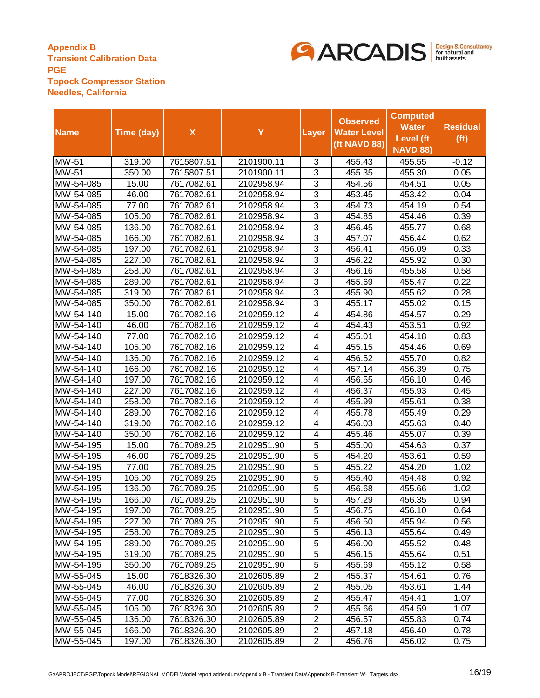

|              |            |                    |            |                | <b>Observed</b>    | <b>Computed</b> |                   |
|--------------|------------|--------------------|------------|----------------|--------------------|-----------------|-------------------|
| <b>Name</b>  | Time (day) | $\pmb{\mathsf{X}}$ | Y          | <b>Layer</b>   | <b>Water Level</b> | <b>Water</b>    | <b>Residual</b>   |
|              |            |                    |            |                | (ft NAVD 88)       | Level (ft       | (f <sup>t</sup> ) |
|              |            |                    |            |                |                    | <b>NAVD 88)</b> |                   |
| <b>MW-51</b> | 319.00     | 7615807.51         | 2101900.11 | 3              | 455.43             | 455.55          | $-0.12$           |
| MW-51        | 350.00     | 7615807.51         | 2101900.11 | 3              | 455.35             | 455.30          | 0.05              |
| MW-54-085    | 15.00      | 7617082.61         | 2102958.94 | 3              | 454.56             | 454.51          | 0.05              |
| MW-54-085    | 46.00      | 7617082.61         | 2102958.94 | 3              | 453.45             | 453.42          | 0.04              |
| MW-54-085    | 77.00      | 7617082.61         | 2102958.94 | 3              | 454.73             | 454.19          | 0.54              |
| MW-54-085    | 105.00     | 7617082.61         | 2102958.94 | $\overline{3}$ | 454.85             | 454.46          | 0.39              |
| MW-54-085    | 136.00     | 7617082.61         | 2102958.94 | 3              | 456.45             | 455.77          | 0.68              |
| MW-54-085    | 166.00     | 7617082.61         | 2102958.94 | 3              | 457.07             | 456.44          | 0.62              |
| MW-54-085    | 197.00     | 7617082.61         | 2102958.94 | 3              | 456.41             | 456.09          | 0.33              |
| MW-54-085    | 227.00     | 7617082.61         | 2102958.94 | $\overline{3}$ | 456.22             | 455.92          | 0.30              |
| MW-54-085    | 258.00     | 7617082.61         | 2102958.94 | 3              | 456.16             | 455.58          | 0.58              |
| MW-54-085    | 289.00     | 7617082.61         | 2102958.94 | 3              | 455.69             | 455.47          | 0.22              |
| MW-54-085    | 319.00     | 7617082.61         | 2102958.94 | $\overline{3}$ | 455.90             | 455.62          | 0.28              |
| MW-54-085    | 350.00     | 7617082.61         | 2102958.94 | $\overline{3}$ | 455.17             | 455.02          | 0.15              |
| MW-54-140    | 15.00      | 7617082.16         | 2102959.12 | 4              | 454.86             | 454.57          | 0.29              |
| MW-54-140    | 46.00      | 7617082.16         | 2102959.12 | 4              | 454.43             | 453.51          | 0.92              |
| MW-54-140    | 77.00      | 7617082.16         | 2102959.12 | 4              | 455.01             | 454.18          | 0.83              |
| MW-54-140    | 105.00     | 7617082.16         | 2102959.12 | 4              | 455.15             | 454.46          | 0.69              |
| MW-54-140    | 136.00     | 7617082.16         | 2102959.12 | 4              | 456.52             | 455.70          | 0.82              |
| MW-54-140    | 166.00     | 7617082.16         | 2102959.12 | 4              | 457.14             | 456.39          | 0.75              |
| MW-54-140    | 197.00     | 7617082.16         | 2102959.12 | 4              | 456.55             | 456.10          | 0.46              |
| MW-54-140    | 227.00     | 7617082.16         | 2102959.12 | 4              | 456.37             | 455.93          | 0.45              |
| MW-54-140    | 258.00     | 7617082.16         | 2102959.12 | 4              | 455.99             | 455.61          | 0.38              |
| MW-54-140    | 289.00     | 7617082.16         | 2102959.12 | 4              | 455.78             | 455.49          | 0.29              |
| MW-54-140    | 319.00     | 7617082.16         | 2102959.12 | 4              | 456.03             | 455.63          | 0.40              |
| MW-54-140    | 350.00     | 7617082.16         | 2102959.12 | $\overline{4}$ | 455.46             | 455.07          | 0.39              |
| MW-54-195    | 15.00      | 7617089.25         | 2102951.90 | 5              | 455.00             | 454.63          | 0.37              |
| MW-54-195    | 46.00      | 7617089.25         | 2102951.90 | 5              | 454.20             | 453.61          | 0.59              |
| MW-54-195    | 77.00      | 7617089.25         | 2102951.90 | 5              | 455.22             | 454.20          | 1.02              |
| MW-54-195    | 105.00     | 7617089.25         | 2102951.90 | $\overline{5}$ | 455.40             | 454.48          | 0.92              |
| MW-54-195    | 136.00     | 7617089.25         | 2102951.90 | $\overline{5}$ | 456.68             | 455.66          | 1.02              |
| MW-54-195    | 166.00     | 7617089.25         | 2102951.90 | $\overline{5}$ | 457.29             | 456.35          | 0.94              |
| MW-54-195    | 197.00     | 7617089.25         | 2102951.90 | 5              | 456.75             | 456.10          | 0.64              |
| MW-54-195    | 227.00     | 7617089.25         | 2102951.90 | 5              | 456.50             | 455.94          | 0.56              |
| MW-54-195    | 258.00     | 7617089.25         | 2102951.90 | 5              | 456.13             | 455.64          | 0.49              |
| MW-54-195    | 289.00     | 7617089.25         | 2102951.90 | 5              | 456.00             | 455.52          | 0.48              |
| MW-54-195    | 319.00     | 7617089.25         | 2102951.90 | 5              | 456.15             | 455.64          | 0.51              |
| MW-54-195    | 350.00     | 7617089.25         | 2102951.90 | 5              | 455.69             | 455.12          | 0.58              |
| MW-55-045    | 15.00      | 7618326.30         | 2102605.89 | $\overline{2}$ | 455.37             | 454.61          | 0.76              |
| MW-55-045    | 46.00      | 7618326.30         | 2102605.89 | $\overline{2}$ | 455.05             | 453.61          | 1.44              |
| MW-55-045    | 77.00      | 7618326.30         | 2102605.89 | $\overline{2}$ | 455.47             | 454.41          | 1.07              |
| MW-55-045    | 105.00     | 7618326.30         | 2102605.89 | $\overline{c}$ | 455.66             | 454.59          | 1.07              |
| MW-55-045    | 136.00     | 7618326.30         | 2102605.89 | $\overline{2}$ | 456.57             | 455.83          | 0.74              |
| MW-55-045    | 166.00     | 7618326.30         | 2102605.89 | $\overline{c}$ | 457.18             | 456.40          | 0.78              |
| MW-55-045    | 197.00     | 7618326.30         | 2102605.89 | $\overline{2}$ | 456.76             | 456.02          | 0.75              |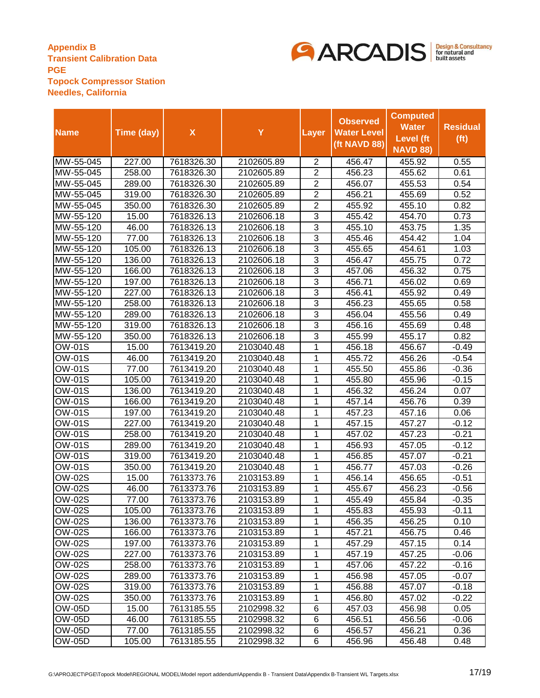

|                             |            |                    |            |                | <b>Observed</b>    | <b>Computed</b>  |                   |
|-----------------------------|------------|--------------------|------------|----------------|--------------------|------------------|-------------------|
| <b>Name</b>                 | Time (day) | $\pmb{\mathsf{X}}$ | Y          | Layer          | <b>Water Level</b> | <b>Water</b>     | <b>Residual</b>   |
|                             |            |                    |            |                | (ft NAVD 88)       | <b>Level</b> (ft | (f <sup>t</sup> ) |
|                             |            |                    |            |                |                    | <b>NAVD 88)</b>  |                   |
| MW-55-045                   | 227.00     | 7618326.30         | 2102605.89 | 2              | 456.47             | 455.92           | 0.55              |
| MW-55-045                   | 258.00     | 7618326.30         | 2102605.89 | 2              | 456.23             | 455.62           | 0.61              |
| MW-55-045                   | 289.00     | 7618326.30         | 2102605.89 | $\overline{2}$ | 456.07             | 455.53           | 0.54              |
| MW-55-045                   | 319.00     | 7618326.30         | 2102605.89 | $\overline{2}$ | 456.21             | 455.69           | 0.52              |
| MW-55-045                   | 350.00     | 7618326.30         | 2102605.89 | $\overline{2}$ | 455.92             | 455.10           | 0.82              |
| MW-55-120                   | 15.00      | 7618326.13         | 2102606.18 | 3              | 455.42             | 454.70           | 0.73              |
| MW-55-120                   | 46.00      | 7618326.13         | 2102606.18 | $\overline{3}$ | 455.10             | 453.75           | 1.35              |
| MW-55-120                   | 77.00      | 7618326.13         | 2102606.18 | 3              | 455.46             | 454.42           | 1.04              |
| MW-55-120                   | 105.00     | 7618326.13         | 2102606.18 | 3              | 455.65             | 454.61           | 1.03              |
| MW-55-120                   | 136.00     | 7618326.13         | 2102606.18 | 3              | 456.47             | 455.75           | 0.72              |
| MW-55-120                   | 166.00     | 7618326.13         | 2102606.18 | 3              | 457.06             | 456.32           | 0.75              |
| MW-55-120                   | 197.00     | 7618326.13         | 2102606.18 | $\overline{3}$ | 456.71             | 456.02           | 0.69              |
| MW-55-120                   | 227.00     | 7618326.13         | 2102606.18 | $\overline{3}$ | 456.41             | 455.92           | 0.49              |
| MW-55-120                   | 258.00     | 7618326.13         | 2102606.18 | $\overline{3}$ | 456.23             | 455.65           | 0.58              |
| MW-55-120                   | 289.00     | 7618326.13         | 2102606.18 | $\overline{3}$ | 456.04             | 455.56           | 0.49              |
| MW-55-120                   | 319.00     | 7618326.13         | 2102606.18 | $\overline{3}$ | 456.16             | 455.69           | 0.48              |
| MW-55-120                   | 350.00     | 7618326.13         | 2102606.18 | 3              | 455.99             | 455.17           | 0.82              |
| OW-01S                      | 15.00      | 7613419.20         | 2103040.48 | 1              | 456.18             | 456.67           | $-0.49$           |
| OW-01S                      | 46.00      | 7613419.20         | 2103040.48 | 1              | 455.72             | 456.26           | $-0.54$           |
| OW-01S                      | 77.00      | 7613419.20         | 2103040.48 | 1              | 455.50             | 455.86           | $-0.36$           |
| OW-01S                      | 105.00     | 7613419.20         | 2103040.48 | 1              | 455.80             | 455.96           | -0.15             |
| OW-01S                      | 136.00     | 7613419.20         | 2103040.48 | 1              | 456.32             | 456.24           | 0.07              |
| <b>OW-01S</b>               | 166.00     | 7613419.20         | 2103040.48 | 1              | 457.14             | 456.76           | 0.39              |
| OW-01S                      | 197.00     | 7613419.20         | 2103040.48 | 1              | 457.23             | 457.16           | 0.06              |
| $\overline{\text{OW}}$ -01S | 227.00     | 7613419.20         | 2103040.48 | 1              | 457.15             | 457.27           | $-0.12$           |
| OW-01S                      | 258.00     | 7613419.20         | 2103040.48 | 1              | 457.02             | 457.23           | $-0.21$           |
| OW-01S                      | 289.00     | 7613419.20         | 2103040.48 | 1              | 456.93             | 457.05           | $-0.12$           |
| OW-01S                      | 319.00     | 7613419.20         | 2103040.48 | 1              | 456.85             | 457.07           | $-0.21$           |
| OW-01S                      | 350.00     | 7613419.20         | 2103040.48 | 1              | 456.77             | 457.03           | $-0.26$           |
| OW-02S                      | 15.00      | 7613373.76         | 2103153.89 | 1              | 456.14             | 456.65           | -0.51             |
| $\overline{O}$ W-02S        | 46.00      | 7613373.76         | 2103153.89 | 1              | 455.67             | 456.23           | -0.56             |
| OW-02S                      | 77.00      | 7613373.76         | 2103153.89 | 1              | 455.49             | 455.84           | -0.35             |
| OW-02S                      | 105.00     | 7613373.76         | 2103153.89 | 1              | 455.83             | 455.93           | $-0.11$           |
| <b>OW-02S</b>               | 136.00     | 7613373.76         | 2103153.89 | 1              | 456.35             | 456.25           | 0.10              |
| OW-02S                      | 166.00     | 7613373.76         | 2103153.89 | 1              | 457.21             | 456.75           | 0.46              |
| OW-02S                      | 197.00     | 7613373.76         | 2103153.89 | 1              | 457.29             | 457.15           | 0.14              |
| OW-02S                      | 227.00     | 7613373.76         | 2103153.89 | 1              | 457.19             | 457.25           | $-0.06$           |
| OW-02S                      | 258.00     | 7613373.76         | 2103153.89 | 1              | 457.06             | 457.22           | $-0.16$           |
| OW-02S                      | 289.00     | 7613373.76         | 2103153.89 | 1              | 456.98             | 457.05           | $-0.07$           |
| OW-02S                      | 319.00     | 7613373.76         | 2103153.89 | 1              | 456.88             | 457.07           | $-0.18$           |
| OW-02S                      | 350.00     | 7613373.76         | 2103153.89 | 1              | 456.80             | 457.02           | -0.22             |
| OW-05D                      | 15.00      | 7613185.55         | 2102998.32 | 6              | 457.03             | 456.98           | 0.05              |
| OW-05D                      | 46.00      | 7613185.55         | 2102998.32 | 6              | 456.51             | 456.56           | $-0.06$           |
| OW-05D                      | 77.00      | 7613185.55         | 2102998.32 | 6              | 456.57             | 456.21           | 0.36              |
| OW-05D                      | 105.00     | 7613185.55         | 2102998.32 | 6              | 456.96             | 456.48           | 0.48              |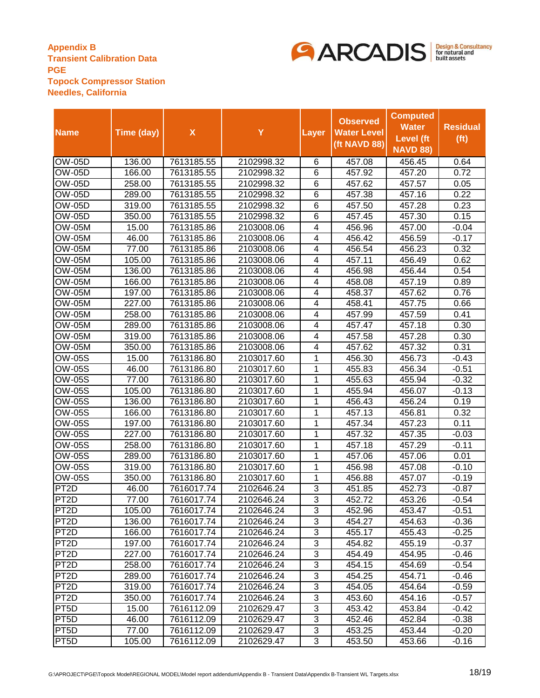

|                      |            |                    |            |                         | <b>Observed</b>    | <b>Computed</b>  |                   |
|----------------------|------------|--------------------|------------|-------------------------|--------------------|------------------|-------------------|
| <b>Name</b>          | Time (day) | $\pmb{\mathsf{X}}$ | Y          | Layer                   | <b>Water Level</b> | <b>Water</b>     | <b>Residual</b>   |
|                      |            |                    |            |                         | (ft NAVD 88)       | <b>Level</b> (ft | (f <sup>t</sup> ) |
|                      |            |                    |            |                         |                    | <b>NAVD 88)</b>  |                   |
| <b>OW-05D</b>        | 136.00     | 7613185.55         | 2102998.32 | 6                       | 457.08             | 456.45           | 0.64              |
| $\overline{OW}$ -05D | 166.00     | 7613185.55         | 2102998.32 | 6                       | 457.92             | 457.20           | 0.72              |
| $\overline{OW}$ -05D | 258.00     | 7613185.55         | 2102998.32 | 6                       | 457.62             | 457.57           | 0.05              |
| <b>OW-05D</b>        | 289.00     | 7613185.55         | 2102998.32 | 6                       | 457.38             | 457.16           | 0.22              |
| OW-05D               | 319.00     | 7613185.55         | 2102998.32 | 6                       | 457.50             | 457.28           | 0.23              |
| <b>OW-05D</b>        | 350.00     | 7613185.55         | 2102998.32 | 6                       | 457.45             | 457.30           | 0.15              |
| <b>OW-05M</b>        | 15.00      | 7613185.86         | 2103008.06 | $\overline{\mathbf{4}}$ | 456.96             | 457.00           | $-0.04$           |
| <b>OW-05M</b>        | 46.00      | 7613185.86         | 2103008.06 | $\overline{\mathbf{4}}$ | 456.42             | 456.59           | $-0.17$           |
| <b>OW-05M</b>        | 77.00      | 7613185.86         | 2103008.06 | $\overline{\mathbf{4}}$ | 456.54             | 456.23           | 0.32              |
| <b>OW-05M</b>        | 105.00     | 7613185.86         | 2103008.06 | 4                       | 457.11             | 456.49           | 0.62              |
| <b>OW-05M</b>        | 136.00     | 7613185.86         | 2103008.06 | 4                       | 456.98             | 456.44           | 0.54              |
| <b>OW-05M</b>        | 166.00     | 7613185.86         | 2103008.06 | 4                       | 458.08             | 457.19           | 0.89              |
| <b>OW-05M</b>        | 197.00     | 7613185.86         | 2103008.06 | $\overline{\mathbf{4}}$ | 458.37             | 457.62           | 0.76              |
| <b>OW-05M</b>        | 227.00     | 7613185.86         | 2103008.06 | $\overline{\mathbf{4}}$ | 458.41             | 457.75           | 0.66              |
| <b>OW-05M</b>        | 258.00     | 7613185.86         | 2103008.06 | $\overline{\mathbf{4}}$ | 457.99             | 457.59           | 0.41              |
| <b>OW-05M</b>        | 289.00     | 7613185.86         | 2103008.06 | 4                       | 457.47             | 457.18           | 0.30              |
| <b>OW-05M</b>        | 319.00     | 7613185.86         | 2103008.06 | 4                       | 457.58             | 457.28           | 0.30              |
| <b>OW-05M</b>        | 350.00     | 7613185.86         | 2103008.06 | 4                       | 457.62             | 457.32           | 0.31              |
| OW-05S               | 15.00      | 7613186.80         | 2103017.60 | 1                       | 456.30             | 456.73           | $-0.43$           |
| <b>OW-05S</b>        | 46.00      | 7613186.80         | 2103017.60 | 1                       | 455.83             | 456.34           | $-0.51$           |
| <b>OW-05S</b>        | 77.00      | 7613186.80         | 2103017.60 | 1                       | 455.63             | 455.94           | $-0.32$           |
| <b>OW-05S</b>        | 105.00     | 7613186.80         | 2103017.60 | 1                       | 455.94             | 456.07           | $-0.13$           |
| <b>OW-05S</b>        | 136.00     | 7613186.80         | 2103017.60 | 1                       | 456.43             | 456.24           | 0.19              |
| <b>OW-05S</b>        | 166.00     | 7613186.80         | 2103017.60 | 1                       | 457.13             | 456.81           | 0.32              |
| <b>OW-05S</b>        | 197.00     | 7613186.80         | 2103017.60 | 1                       | 457.34             | 457.23           | 0.11              |
| <b>OW-05S</b>        | 227.00     | 7613186.80         | 2103017.60 | 1                       | 457.32             | 457.35           | $-0.03$           |
| <b>OW-05S</b>        | 258.00     | 7613186.80         | 2103017.60 | 1                       | 457.18             | 457.29           | $-0.11$           |
| <b>OW-05S</b>        | 289.00     | 7613186.80         | 2103017.60 | 1                       | 457.06             | 457.06           | 0.01              |
| <b>OW-05S</b>        | 319.00     | 7613186.80         | 2103017.60 | 1                       | 456.98             | 457.08           | $-0.10$           |
| <b>OW-05S</b>        | 350.00     | 7613186.80         | 2103017.60 | 1                       | 456.88             | 457.07           | $-0.19$           |
| PT <sub>2</sub> D    | 46.00      | 7616017.74         | 2102646.24 | 3                       | 451.85             | 452.73           | $-0.87$           |
| PT <sub>2</sub> D    | 77.00      | 7616017.74         | 2102646.24 | $\overline{3}$          | 452.72             | 453.26           | $-0.54$           |
| PT <sub>2</sub> D    | 105.00     | 7616017.74         | 2102646.24 | 3                       | 452.96             | 453.47           | $-0.51$           |
| PT <sub>2</sub> D    | 136.00     | 7616017.74         | 2102646.24 | 3                       | 454.27             | 454.63           | $-0.36$           |
| PT <sub>2</sub> D    | 166.00     | 7616017.74         | 2102646.24 | 3                       | 455.17             | 455.43           | $-0.25$           |
| PT <sub>2</sub> D    | 197.00     | 7616017.74         | 2102646.24 | 3                       | 454.82             | 455.19           | $-0.37$           |
| PT <sub>2</sub> D    | 227.00     | 7616017.74         | 2102646.24 | 3                       | 454.49             | 454.95           | $-0.46$           |
| PT <sub>2</sub> D    | 258.00     | 7616017.74         | 2102646.24 | 3                       | 454.15             | 454.69           | $-0.54$           |
| PT <sub>2</sub> D    | 289.00     | 7616017.74         | 2102646.24 | 3                       | 454.25             | 454.71           | $-0.46$           |
| PT2D                 | 319.00     | 7616017.74         | 2102646.24 | 3                       | 454.05             | 454.64           | $-0.59$           |
| PT <sub>2</sub> D    | 350.00     | 7616017.74         | 2102646.24 | 3                       | 453.60             | 454.16           | $-0.57$           |
| PT <sub>5</sub> D    | 15.00      | 7616112.09         | 2102629.47 | 3                       | 453.42             | 453.84           | $-0.42$           |
| PT <sub>5</sub> D    | 46.00      | 7616112.09         | 2102629.47 | 3                       | 452.46             | 452.84           | $-0.38$           |
| PT <sub>5</sub> D    | 77.00      | 7616112.09         | 2102629.47 | 3                       | 453.25             | 453.44           | $-0.20$           |
| PT <sub>5</sub> D    | 105.00     | 7616112.09         | 2102629.47 | 3                       | 453.50             | 453.66           | $-0.16$           |